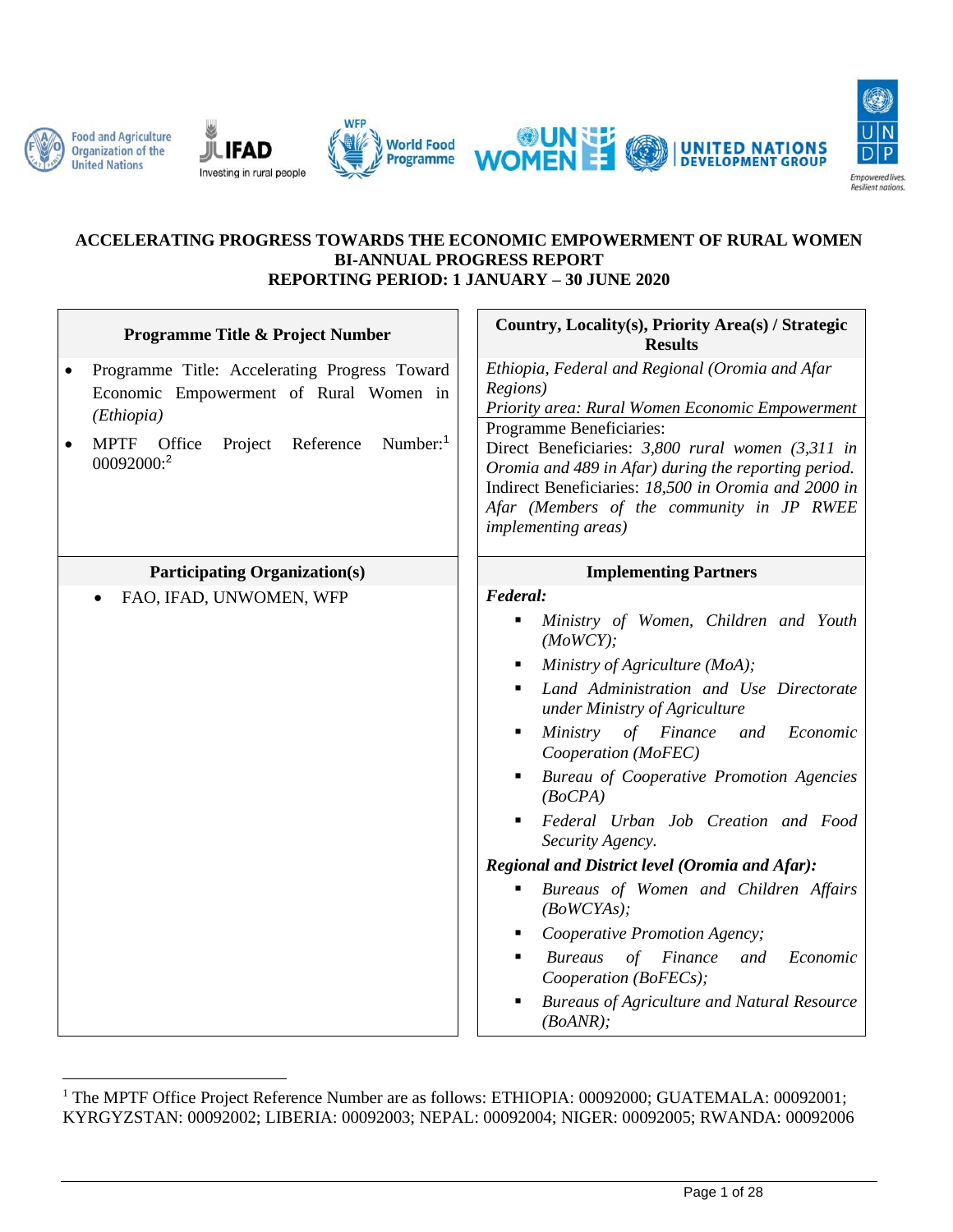











#### **ACCELERATING PROGRESS TOWARDS THE ECONOMIC EMPOWERMENT OF RURAL WOMEN BI-ANNUAL PROGRESS REPORT REPORTING PERIOD: 1 JANUARY – 30 JUNE 2020**

| Programme Title & Project Number                                                                                                                                                         | Country, Locality(s), Priority Area(s) / Strategic<br><b>Results</b>                                                                                                                                                                                                                                                                                                                                                                                                                                                                                                                                                                                                                                   |
|------------------------------------------------------------------------------------------------------------------------------------------------------------------------------------------|--------------------------------------------------------------------------------------------------------------------------------------------------------------------------------------------------------------------------------------------------------------------------------------------------------------------------------------------------------------------------------------------------------------------------------------------------------------------------------------------------------------------------------------------------------------------------------------------------------------------------------------------------------------------------------------------------------|
| Programme Title: Accelerating Progress Toward<br>٠<br>Economic Empowerment of Rural Women in<br>(Ethiopia)<br><b>MPTF</b><br>Office<br>Project<br>Reference<br>Number: $1$<br>00092000:2 | Ethiopia, Federal and Regional (Oromia and Afar<br>Regions)<br>Priority area: Rural Women Economic Empowerment<br>Programme Beneficiaries:<br>Direct Beneficiaries: 3,800 rural women (3,311 in<br>Oromia and 489 in Afar) during the reporting period.<br>Indirect Beneficiaries: 18,500 in Oromia and 2000 in<br>Afar (Members of the community in JP RWEE<br><i>implementing areas)</i>                                                                                                                                                                                                                                                                                                             |
| <b>Participating Organization(s)</b>                                                                                                                                                     | <b>Implementing Partners</b>                                                                                                                                                                                                                                                                                                                                                                                                                                                                                                                                                                                                                                                                           |
| FAO, IFAD, UNWOMEN, WFP                                                                                                                                                                  | Federal:<br>Ministry of Women, Children and Youth<br>٠<br>(MoWCY);<br>Ministry of Agriculture (MoA);<br>٠<br>Land Administration and Use Directorate<br>under Ministry of Agriculture<br>Ministry of Finance<br>Economic<br>and<br>Ξ<br>Cooperation (MoFEC)<br>Bureau of Cooperative Promotion Agencies<br>(BoCPA)<br>Federal Urban Job Creation and Food<br>$\blacksquare$<br>Security Agency.<br>Regional and District level (Oromia and Afar):<br>Bureaus of Women and Children Affairs<br>٠<br>(BoWCYAs);<br>Cooperative Promotion Agency;<br>٠<br>of Finance<br><b>Bureaus</b><br>Economic<br>and<br>п<br>Cooperation (BoFECs);<br><b>Bureaus of Agriculture and Natural Resource</b><br>(BoANR); |

<sup>&</sup>lt;sup>1</sup> The MPTF Office Project Reference Number are as follows: ETHIOPIA: 00092000; GUATEMALA: 00092001; KYRGYZSTAN: 00092002; LIBERIA: 00092003; NEPAL: 00092004; NIGER: 00092005; RWANDA: 00092006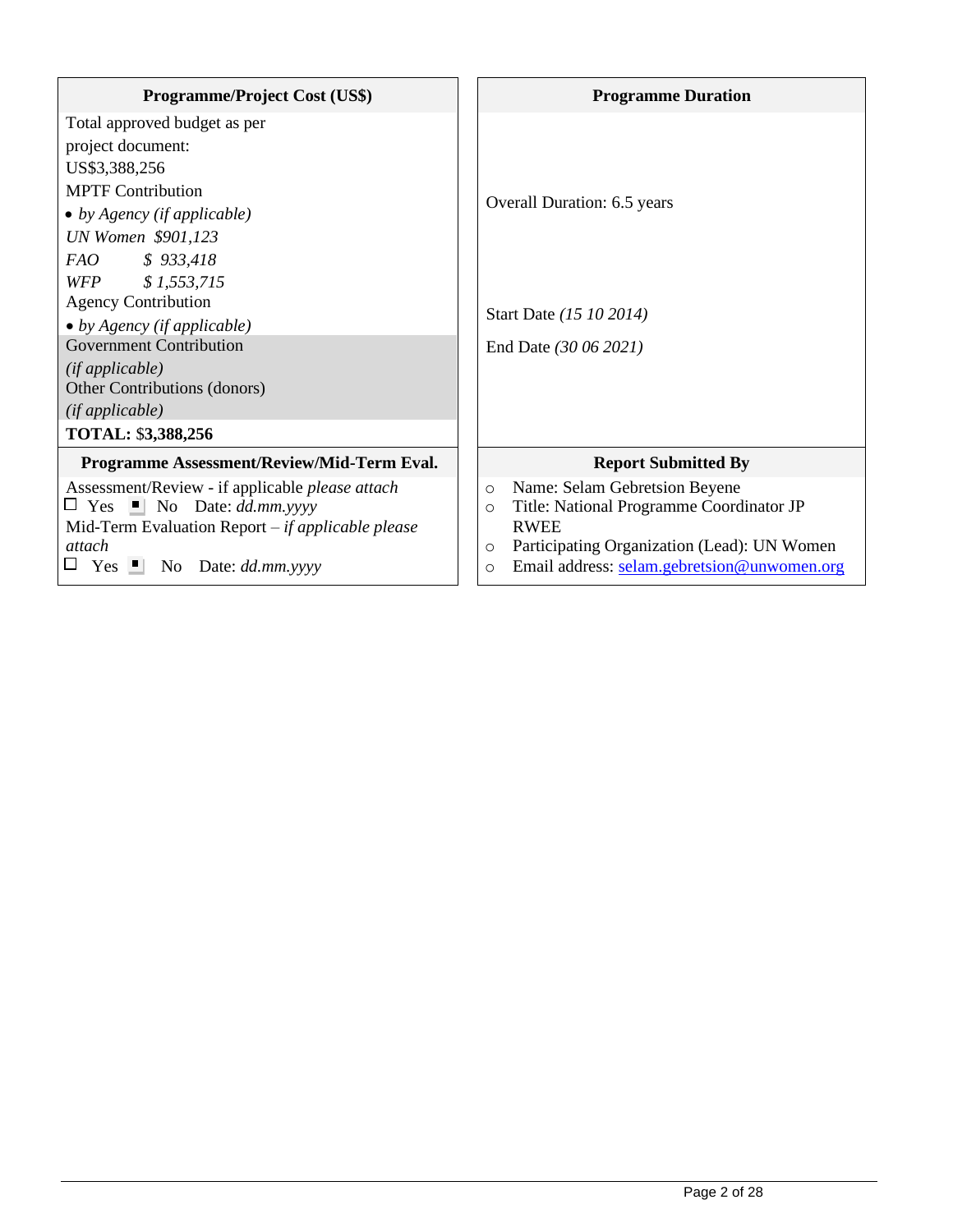| <b>Programme/Project Cost (US\$)</b>                                                                                                                                                                                            | <b>Programme Duration</b>                                                                                                                                                                                                          |
|---------------------------------------------------------------------------------------------------------------------------------------------------------------------------------------------------------------------------------|------------------------------------------------------------------------------------------------------------------------------------------------------------------------------------------------------------------------------------|
| Total approved budget as per<br>project document:<br>US\$3,388,256<br><b>MPTF Contribution</b><br>• by Agency (if applicable)<br>UN Women \$901,123                                                                             | Overall Duration: 6.5 years                                                                                                                                                                                                        |
| FAO<br>\$933,418<br>WFP \$1,553,715<br><b>Agency Contribution</b><br>• by Agency (if applicable)<br><b>Government Contribution</b><br>$(if\,applied\,)$<br>Other Contributions (donors)<br>(ifappliedble)<br>TOTAL: \$3,388,256 | Start Date (15 10 2014)<br>End Date (30 06 2021)                                                                                                                                                                                   |
| Programme Assessment/Review/Mid-Term Eval.                                                                                                                                                                                      | <b>Report Submitted By</b>                                                                                                                                                                                                         |
| Assessment/Review - if applicable please attach<br>$\Box$ Yes $\Box$ No Date: dd.mm.yyyy<br>Mid-Term Evaluation Report $-i f$ applicable please<br>attach<br>Yes $\blacksquare$ No Date: dd.mm.yyyy                             | Name: Selam Gebretsion Beyene<br>$\circ$<br>Title: National Programme Coordinator JP<br>$\circ$<br><b>RWEE</b><br>Participating Organization (Lead): UN Women<br>$\circ$<br>Email address: selam.gebretsion@unwomen.org<br>$\circ$ |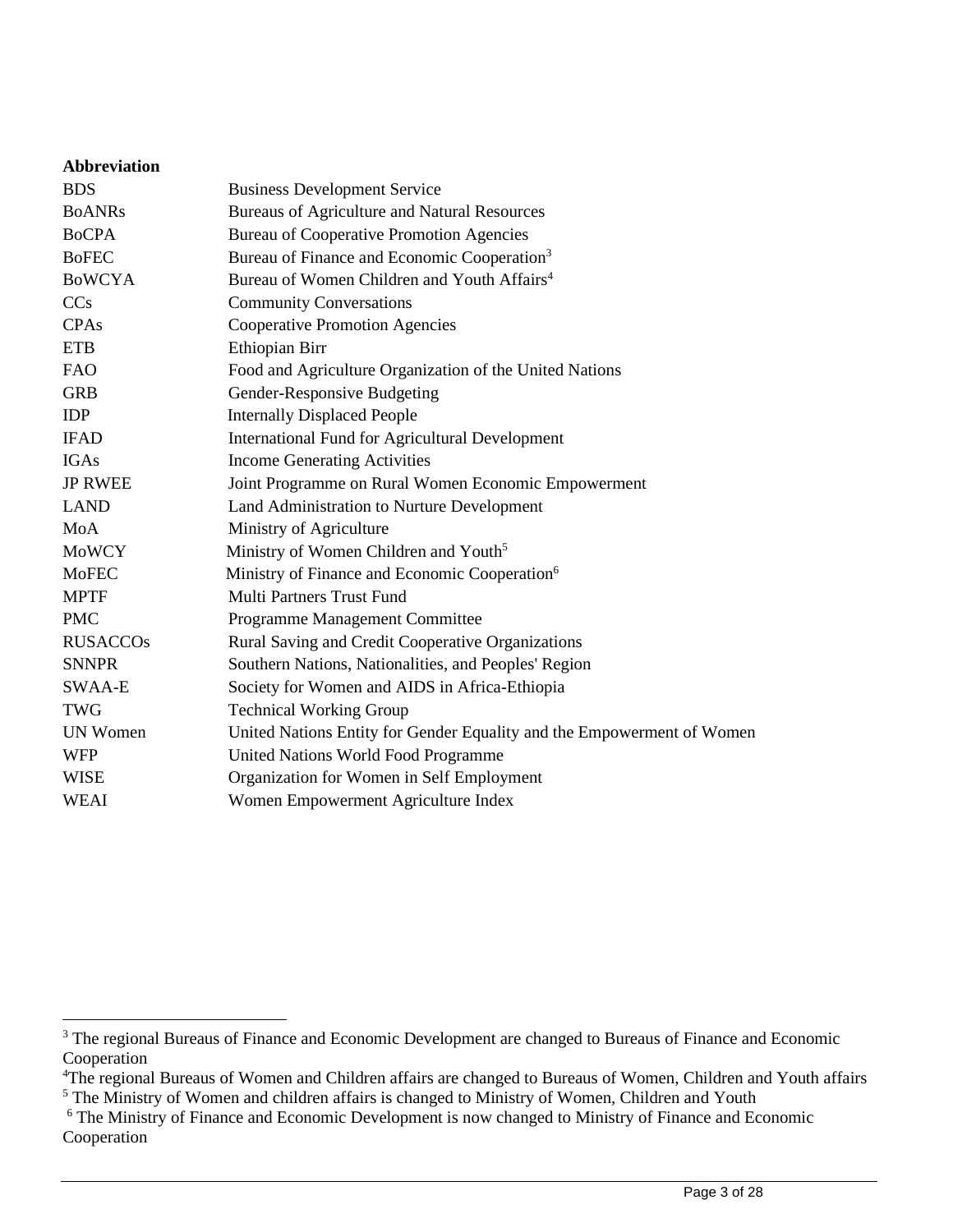| <b>Abbreviation</b> |                                                                        |
|---------------------|------------------------------------------------------------------------|
| <b>BDS</b>          | <b>Business Development Service</b>                                    |
| <b>BOANRs</b>       | <b>Bureaus of Agriculture and Natural Resources</b>                    |
| <b>BoCPA</b>        | <b>Bureau of Cooperative Promotion Agencies</b>                        |
| <b>BoFEC</b>        | Bureau of Finance and Economic Cooperation <sup>3</sup>                |
| <b>BOWCYA</b>       | Bureau of Women Children and Youth Affairs <sup>4</sup>                |
| <b>CCs</b>          | <b>Community Conversations</b>                                         |
| CPAs                | <b>Cooperative Promotion Agencies</b>                                  |
| <b>ETB</b>          | Ethiopian Birr                                                         |
| <b>FAO</b>          | Food and Agriculture Organization of the United Nations                |
| <b>GRB</b>          | Gender-Responsive Budgeting                                            |
| <b>IDP</b>          | <b>Internally Displaced People</b>                                     |
| <b>IFAD</b>         | <b>International Fund for Agricultural Development</b>                 |
| <b>IGAs</b>         | <b>Income Generating Activities</b>                                    |
| <b>JP RWEE</b>      | Joint Programme on Rural Women Economic Empowerment                    |
| <b>LAND</b>         | Land Administration to Nurture Development                             |
| MoA                 | Ministry of Agriculture                                                |
| <b>MoWCY</b>        | Ministry of Women Children and Youth <sup>5</sup>                      |
| <b>MoFEC</b>        | Ministry of Finance and Economic Cooperation <sup>6</sup>              |
| <b>MPTF</b>         | <b>Multi Partners Trust Fund</b>                                       |
| <b>PMC</b>          | Programme Management Committee                                         |
| <b>RUSACCOs</b>     | Rural Saving and Credit Cooperative Organizations                      |
| <b>SNNPR</b>        | Southern Nations, Nationalities, and Peoples' Region                   |
| SWAA-E              | Society for Women and AIDS in Africa-Ethiopia                          |
| <b>TWG</b>          | <b>Technical Working Group</b>                                         |
| <b>UN Women</b>     | United Nations Entity for Gender Equality and the Empowerment of Women |
| <b>WFP</b>          | United Nations World Food Programme                                    |
| <b>WISE</b>         | Organization for Women in Self Employment                              |
| <b>WEAI</b>         | Women Empowerment Agriculture Index                                    |
|                     |                                                                        |

<sup>&</sup>lt;sup>3</sup> The regional Bureaus of Finance and Economic Development are changed to Bureaus of Finance and Economic Cooperation

<sup>&</sup>lt;sup>4</sup>The regional Bureaus of Women and Children affairs are changed to Bureaus of Women, Children and Youth affairs <sup>5</sup> The Ministry of Women and children affairs is changed to Ministry of Women, Children and Youth

<sup>&</sup>lt;sup>6</sup> The Ministry of Finance and Economic Development is now changed to Ministry of Finance and Economic Cooperation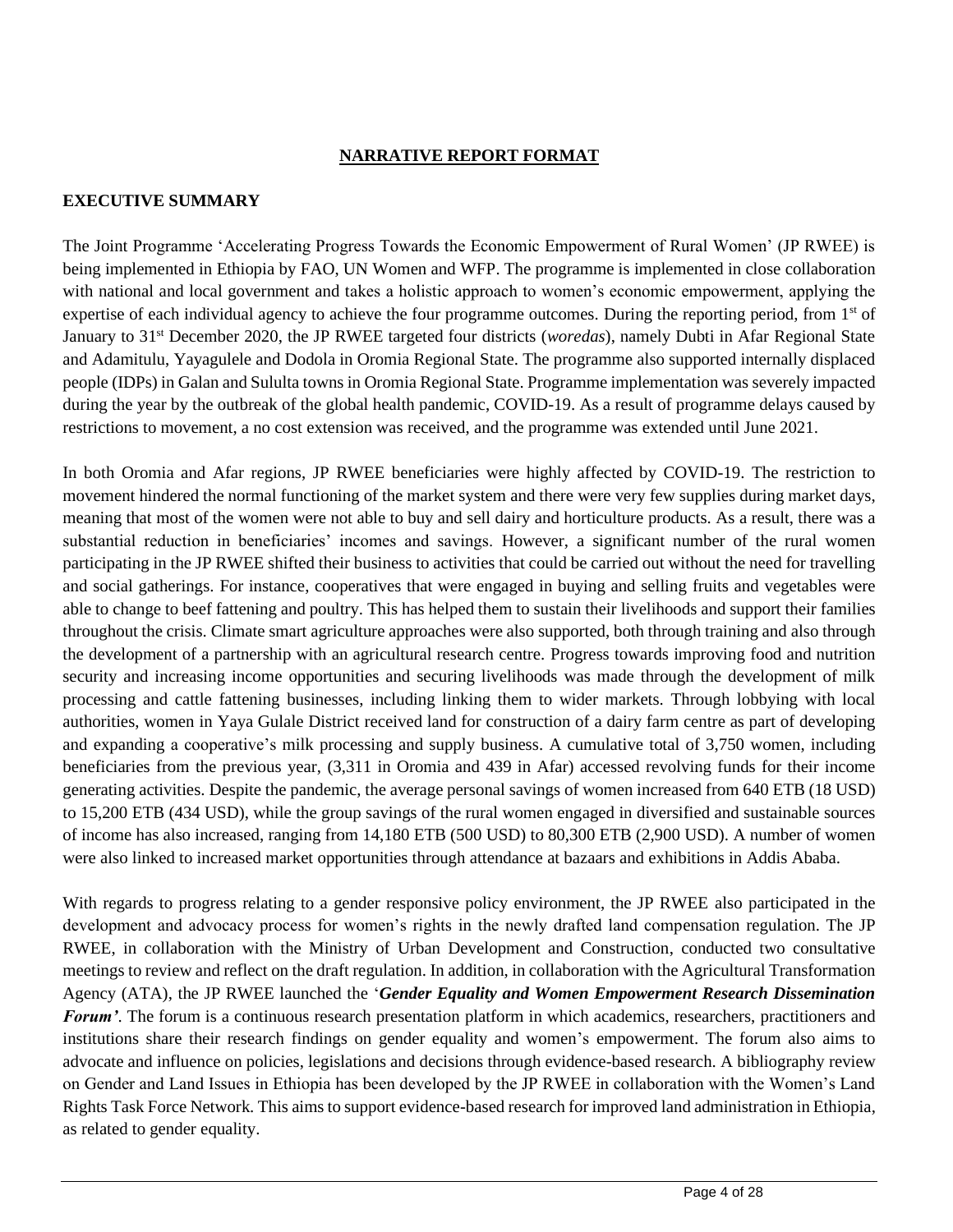#### **NARRATIVE REPORT FORMAT**

### **EXECUTIVE SUMMARY**

The Joint Programme 'Accelerating Progress Towards the Economic Empowerment of Rural Women' (JP RWEE) is being implemented in Ethiopia by FAO, UN Women and WFP. The programme is implemented in close collaboration with national and local government and takes a holistic approach to women's economic empowerment, applying the expertise of each individual agency to achieve the four programme outcomes. During the reporting period, from 1<sup>st</sup> of January to 31<sup>st</sup> December 2020, the JP RWEE targeted four districts (*woredas*), namely Dubti in Afar Regional State and Adamitulu, Yayagulele and Dodola in Oromia Regional State. The programme also supported internally displaced people (IDPs) in Galan and Sululta towns in Oromia Regional State. Programme implementation was severely impacted during the year by the outbreak of the global health pandemic, COVID-19. As a result of programme delays caused by restrictions to movement, a no cost extension was received, and the programme was extended until June 2021.

In both Oromia and Afar regions, JP RWEE beneficiaries were highly affected by COVID-19. The restriction to movement hindered the normal functioning of the market system and there were very few supplies during market days, meaning that most of the women were not able to buy and sell dairy and horticulture products. As a result, there was a substantial reduction in beneficiaries' incomes and savings. However, a significant number of the rural women participating in the JP RWEE shifted their business to activities that could be carried out without the need for travelling and social gatherings. For instance, cooperatives that were engaged in buying and selling fruits and vegetables were able to change to beef fattening and poultry. This has helped them to sustain their livelihoods and support their families throughout the crisis. Climate smart agriculture approaches were also supported, both through training and also through the development of a partnership with an agricultural research centre. Progress towards improving food and nutrition security and increasing income opportunities and securing livelihoods was made through the development of milk processing and cattle fattening businesses, including linking them to wider markets. Through lobbying with local authorities, women in Yaya Gulale District received land for construction of a dairy farm centre as part of developing and expanding a cooperative's milk processing and supply business. A cumulative total of 3,750 women, including beneficiaries from the previous year, (3,311 in Oromia and 439 in Afar) accessed revolving funds for their income generating activities. Despite the pandemic, the average personal savings of women increased from 640 ETB (18 USD) to 15,200 ETB (434 USD), while the group savings of the rural women engaged in diversified and sustainable sources of income has also increased, ranging from 14,180 ETB (500 USD) to 80,300 ETB (2,900 USD). A number of women were also linked to increased market opportunities through attendance at bazaars and exhibitions in Addis Ababa.

With regards to progress relating to a gender responsive policy environment, the JP RWEE also participated in the development and advocacy process for women's rights in the newly drafted land compensation regulation. The JP RWEE, in collaboration with the Ministry of Urban Development and Construction, conducted two consultative meetings to review and reflect on the draft regulation. In addition, in collaboration with the Agricultural Transformation Agency (ATA), the JP RWEE launched the '*Gender Equality and Women Empowerment Research Dissemination Forum'*. The forum is a continuous research presentation platform in which academics, researchers, practitioners and institutions share their research findings on gender equality and women's empowerment. The forum also aims to advocate and influence on policies, legislations and decisions through evidence-based research. A bibliography review on Gender and Land Issues in Ethiopia has been developed by the JP RWEE in collaboration with the Women's Land Rights Task Force Network. This aims to support evidence-based research for improved land administration in Ethiopia, as related to gender equality.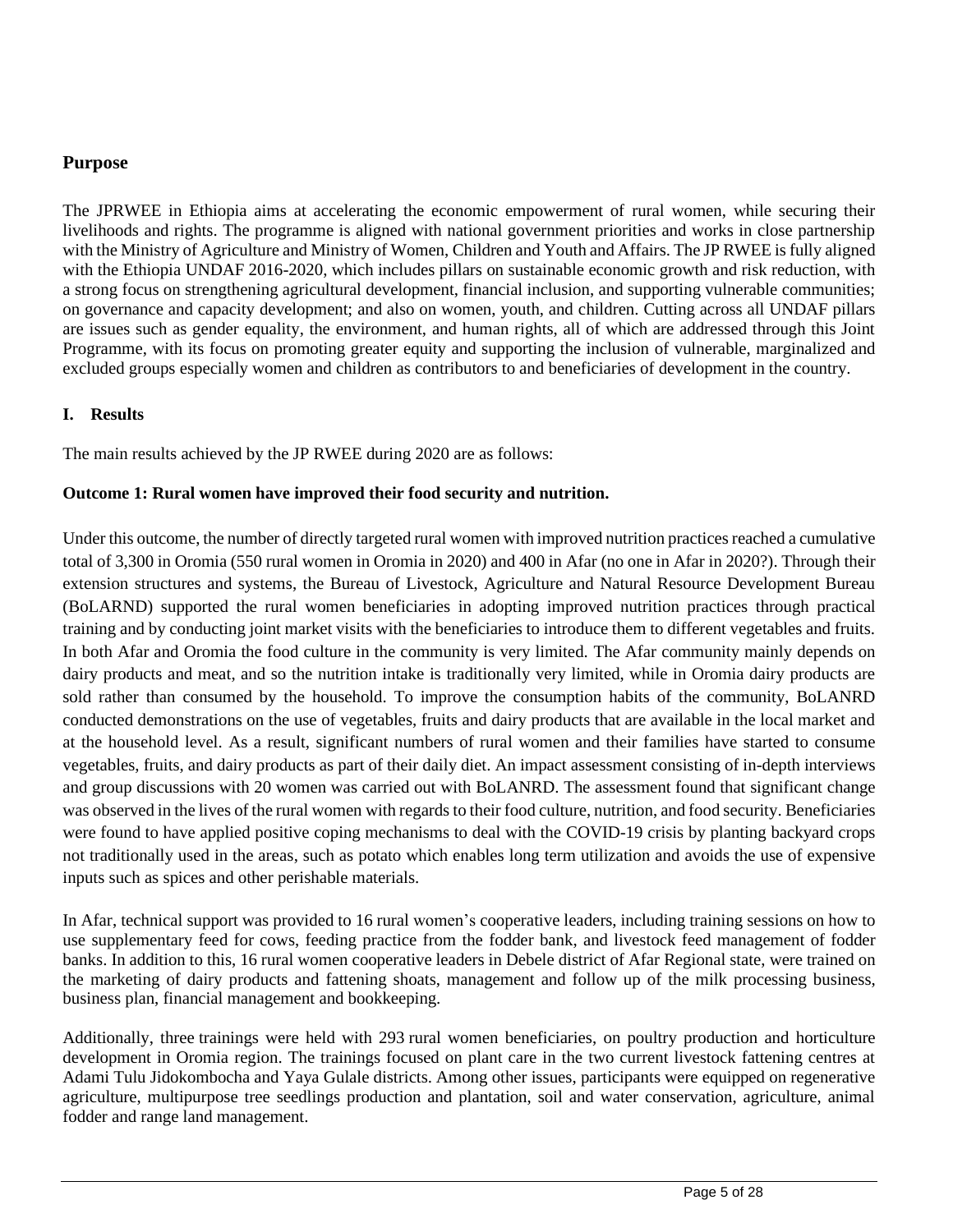## **Purpose**

The JPRWEE in Ethiopia aims at accelerating the economic empowerment of rural women, while securing their livelihoods and rights. The programme is aligned with national government priorities and works in close partnership with the Ministry of Agriculture and Ministry of Women, Children and Youth and Affairs. The JP RWEE is fully aligned with the Ethiopia UNDAF 2016-2020, which includes pillars on sustainable economic growth and risk reduction, with a strong focus on strengthening agricultural development, financial inclusion, and supporting vulnerable communities; on governance and capacity development; and also on women, youth, and children. Cutting across all UNDAF pillars are issues such as gender equality, the environment, and human rights, all of which are addressed through this Joint Programme, with its focus on promoting greater equity and supporting the inclusion of vulnerable, marginalized and excluded groups especially women and children as contributors to and beneficiaries of development in the country.

#### **I. Results**

The main results achieved by the JP RWEE during 2020 are as follows:

#### **Outcome 1: Rural women have improved their food security and nutrition.**

Under this outcome, the number of directly targeted rural women with improved nutrition practices reached a cumulative total of 3,300 in Oromia (550 rural women in Oromia in 2020) and 400 in Afar (no one in Afar in 2020?). Through their extension structures and systems, the Bureau of Livestock, Agriculture and Natural Resource Development Bureau (BoLARND) supported the rural women beneficiaries in adopting improved nutrition practices through practical training and by conducting joint market visits with the beneficiaries to introduce them to different vegetables and fruits. In both Afar and Oromia the food culture in the community is very limited. The Afar community mainly depends on dairy products and meat, and so the nutrition intake is traditionally very limited, while in Oromia dairy products are sold rather than consumed by the household. To improve the consumption habits of the community, BoLANRD conducted demonstrations on the use of vegetables, fruits and dairy products that are available in the local market and at the household level. As a result, significant numbers of rural women and their families have started to consume vegetables, fruits, and dairy products as part of their daily diet. An impact assessment consisting of in-depth interviews and group discussions with 20 women was carried out with BoLANRD. The assessment found that significant change was observed in the lives of the rural women with regards to their food culture, nutrition, and food security. Beneficiaries were found to have applied positive coping mechanisms to deal with the COVID-19 crisis by planting backyard crops not traditionally used in the areas, such as potato which enables long term utilization and avoids the use of expensive inputs such as spices and other perishable materials.

In Afar, technical support was provided to 16 rural women's cooperative leaders, including training sessions on how to use supplementary feed for cows, feeding practice from the fodder bank, and livestock feed management of fodder banks. In addition to this, 16 rural women cooperative leaders in Debele district of Afar Regional state, were trained on the marketing of dairy products and fattening shoats, management and follow up of the milk processing business, business plan, financial management and bookkeeping.

Additionally, three trainings were held with 293 rural women beneficiaries, on poultry production and horticulture development in Oromia region. The trainings focused on plant care in the two current livestock fattening centres at Adami Tulu Jidokombocha and Yaya Gulale districts. Among other issues, participants were equipped on regenerative agriculture, multipurpose tree seedlings production and plantation, soil and water conservation, agriculture, animal fodder and range land management.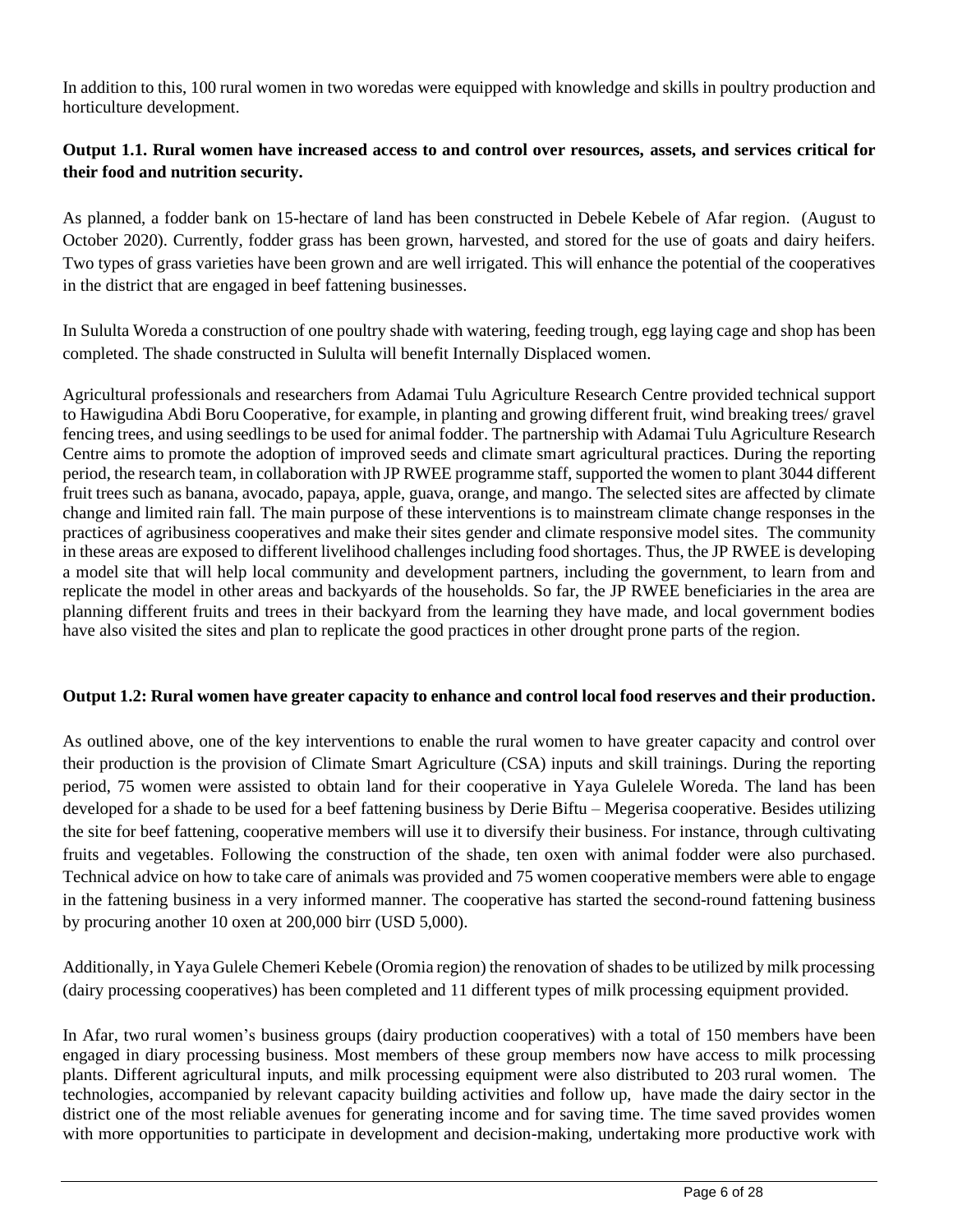In addition to this, 100 rural women in two woredas were equipped with knowledge and skills in poultry production and horticulture development.

# **Output 1.1. Rural women have increased access to and control over resources, assets, and services critical for their food and nutrition security.**

As planned, a fodder bank on 15-hectare of land has been constructed in Debele Kebele of Afar region. (August to October 2020). Currently, fodder grass has been grown, harvested, and stored for the use of goats and dairy heifers. Two types of grass varieties have been grown and are well irrigated. This will enhance the potential of the cooperatives in the district that are engaged in beef fattening businesses.

In Sululta Woreda a construction of one poultry shade with watering, feeding trough, egg laying cage and shop has been completed. The shade constructed in Sululta will benefit Internally Displaced women.

Agricultural professionals and researchers from Adamai Tulu Agriculture Research Centre provided technical support to Hawigudina Abdi Boru Cooperative, for example, in planting and growing different fruit, wind breaking trees/ gravel fencing trees, and using seedlings to be used for animal fodder. The partnership with Adamai Tulu Agriculture Research Centre aims to promote the adoption of improved seeds and climate smart agricultural practices. During the reporting period, the research team, in collaboration with JP RWEE programme staff, supported the women to plant 3044 different fruit trees such as banana, avocado, papaya, apple, guava, orange, and mango. The selected sites are affected by climate change and limited rain fall. The main purpose of these interventions is to mainstream climate change responses in the practices of agribusiness cooperatives and make their sites gender and climate responsive model sites. The community in these areas are exposed to different livelihood challenges including food shortages. Thus, the JP RWEE is developing a model site that will help local community and development partners, including the government, to learn from and replicate the model in other areas and backyards of the households. So far, the JP RWEE beneficiaries in the area are planning different fruits and trees in their backyard from the learning they have made, and local government bodies have also visited the sites and plan to replicate the good practices in other drought prone parts of the region.

#### **Output 1.2: Rural women have greater capacity to enhance and control local food reserves and their production.**

As outlined above, one of the key interventions to enable the rural women to have greater capacity and control over their production is the provision of Climate Smart Agriculture (CSA) inputs and skill trainings. During the reporting period, 75 women were assisted to obtain land for their cooperative in Yaya Gulelele Woreda. The land has been developed for a shade to be used for a beef fattening business by Derie Biftu – Megerisa cooperative. Besides utilizing the site for beef fattening, cooperative members will use it to diversify their business. For instance, through cultivating fruits and vegetables. Following the construction of the shade, ten oxen with animal fodder were also purchased. Technical advice on how to take care of animals was provided and 75 women cooperative members were able to engage in the fattening business in a very informed manner. The cooperative has started the second-round fattening business by procuring another 10 oxen at 200,000 birr (USD 5,000).

Additionally, in Yaya Gulele Chemeri Kebele (Oromia region) the renovation of shades to be utilized by milk processing (dairy processing cooperatives) has been completed and 11 different types of milk processing equipment provided.

In Afar, two rural women's business groups (dairy production cooperatives) with a total of 150 members have been engaged in diary processing business. Most members of these group members now have access to milk processing plants. Different agricultural inputs, and milk processing equipment were also distributed to 203 rural women. The technologies, accompanied by relevant capacity building activities and follow up, have made the dairy sector in the district one of the most reliable avenues for generating income and for saving time. The time saved provides women with more opportunities to participate in development and decision-making, undertaking more productive work with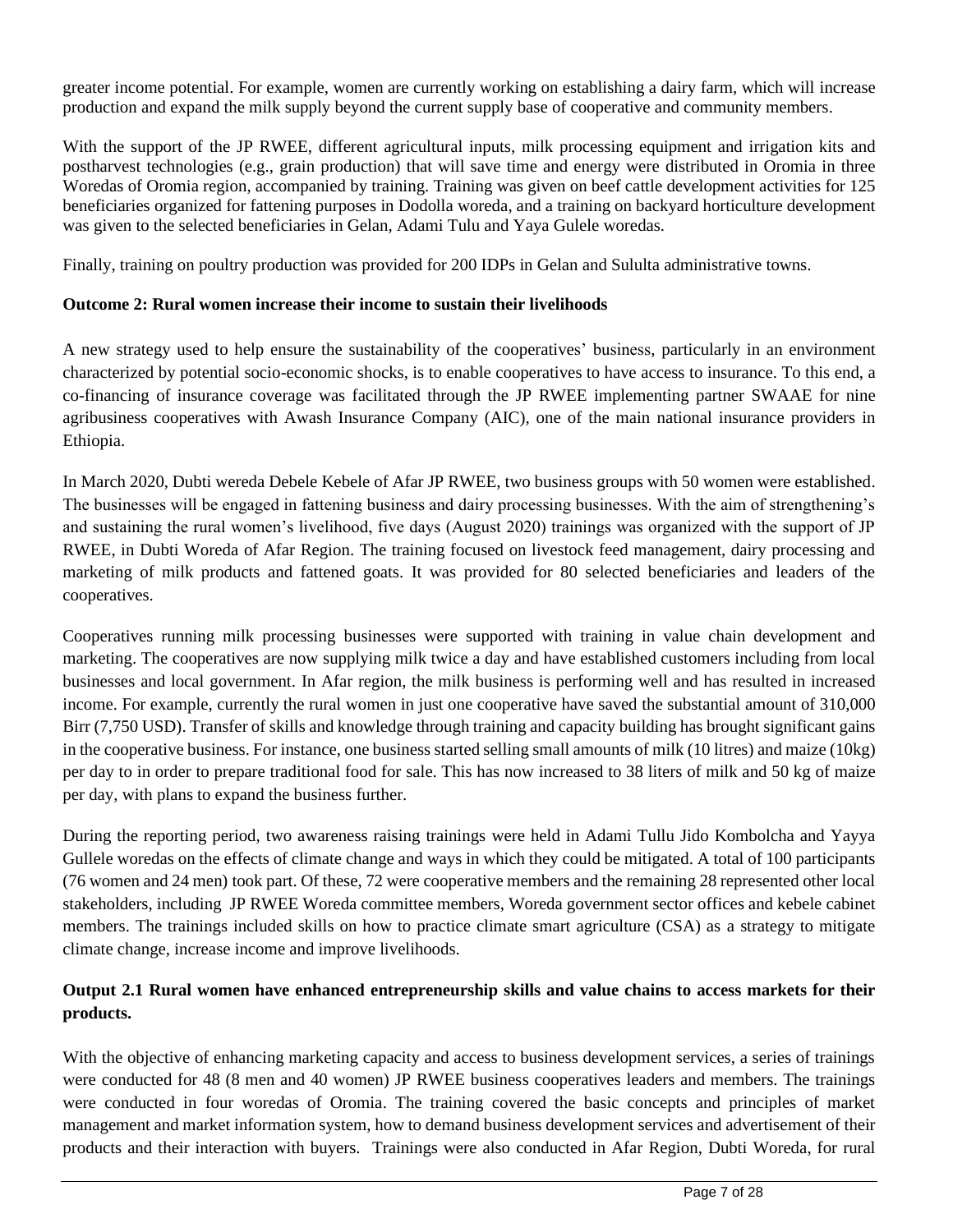greater income potential. For example, women are currently working on establishing a dairy farm, which will increase production and expand the milk supply beyond the current supply base of cooperative and community members.

With the support of the JP RWEE, different agricultural inputs, milk processing equipment and irrigation kits and postharvest technologies (e.g., grain production) that will save time and energy were distributed in Oromia in three Woredas of Oromia region, accompanied by training. Training was given on beef cattle development activities for 125 beneficiaries organized for fattening purposes in Dodolla woreda, and a training on backyard horticulture development was given to the selected beneficiaries in Gelan, Adami Tulu and Yaya Gulele woredas.

Finally, training on poultry production was provided for 200 IDPs in Gelan and Sululta administrative towns.

## **Outcome 2: Rural women increase their income to sustain their livelihoods**

A new strategy used to help ensure the sustainability of the cooperatives' business, particularly in an environment characterized by potential socio-economic shocks, is to enable cooperatives to have access to insurance. To this end, a co-financing of insurance coverage was facilitated through the JP RWEE implementing partner SWAAE for nine agribusiness cooperatives with Awash Insurance Company (AIC), one of the main national insurance providers in Ethiopia.

In March 2020, Dubti wereda Debele Kebele of Afar JP RWEE, two business groups with 50 women were established. The businesses will be engaged in fattening business and dairy processing businesses. With the aim of strengthening's and sustaining the rural women's livelihood, five days (August 2020) trainings was organized with the support of JP RWEE, in Dubti Woreda of Afar Region. The training focused on livestock feed management, dairy processing and marketing of milk products and fattened goats. It was provided for 80 selected beneficiaries and leaders of the cooperatives.

Cooperatives running milk processing businesses were supported with training in value chain development and marketing. The cooperatives are now supplying milk twice a day and have established customers including from local businesses and local government. In Afar region, the milk business is performing well and has resulted in increased income. For example, currently the rural women in just one cooperative have saved the substantial amount of 310,000 Birr (7,750 USD). Transfer of skills and knowledge through training and capacity building has brought significant gains in the cooperative business. For instance, one business started selling small amounts of milk (10 litres) and maize (10kg) per day to in order to prepare traditional food for sale. This has now increased to 38 liters of milk and 50 kg of maize per day, with plans to expand the business further.

During the reporting period, two awareness raising trainings were held in Adami Tullu Jido Kombolcha and Yayya Gullele woredas on the effects of climate change and ways in which they could be mitigated. A total of 100 participants (76 women and 24 men) took part. Of these, 72 were cooperative members and the remaining 28 represented other local stakeholders, including JP RWEE Woreda committee members, Woreda government sector offices and kebele cabinet members. The trainings included skills on how to practice climate smart agriculture (CSA) as a strategy to mitigate climate change, increase income and improve livelihoods.

## **Output 2.1 Rural women have enhanced entrepreneurship skills and value chains to access markets for their products.**

With the objective of enhancing marketing capacity and access to business development services, a series of trainings were conducted for 48 (8 men and 40 women) JP RWEE business cooperatives leaders and members. The trainings were conducted in four woredas of Oromia. The training covered the basic concepts and principles of market management and market information system, how to demand business development services and advertisement of their products and their interaction with buyers. Trainings were also conducted in Afar Region, Dubti Woreda, for rural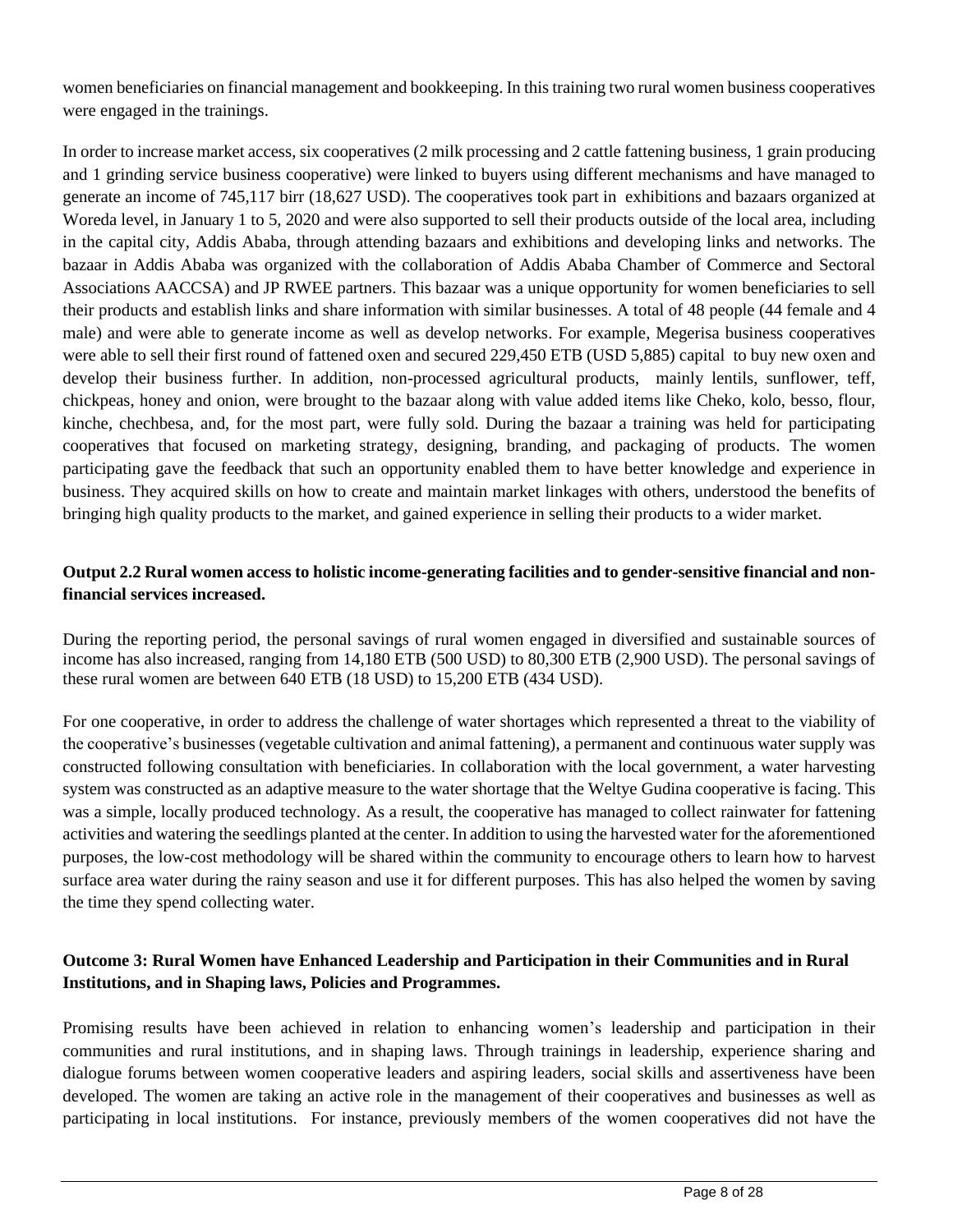women beneficiaries on financial management and bookkeeping. In this training two rural women business cooperatives were engaged in the trainings.

In order to increase market access, six cooperatives (2 milk processing and 2 cattle fattening business, 1 grain producing and 1 grinding service business cooperative) were linked to buyers using different mechanisms and have managed to generate an income of 745,117 birr (18,627 USD). The cooperatives took part in exhibitions and bazaars organized at Woreda level, in January 1 to 5, 2020 and were also supported to sell their products outside of the local area, including in the capital city, Addis Ababa, through attending bazaars and exhibitions and developing links and networks. The bazaar in Addis Ababa was organized with the collaboration of Addis Ababa Chamber of Commerce and Sectoral Associations AACCSA) and JP RWEE partners. This bazaar was a unique opportunity for women beneficiaries to sell their products and establish links and share information with similar businesses. A total of 48 people (44 female and 4 male) and were able to generate income as well as develop networks. For example, Megerisa business cooperatives were able to sell their first round of fattened oxen and secured 229,450 ETB (USD 5,885) capital to buy new oxen and develop their business further. In addition, non-processed agricultural products, mainly lentils, sunflower, teff, chickpeas, honey and onion, were brought to the bazaar along with value added items like Cheko, kolo, besso, flour, kinche, chechbesa, and, for the most part, were fully sold. During the bazaar a training was held for participating cooperatives that focused on marketing strategy, designing, branding, and packaging of products. The women participating gave the feedback that such an opportunity enabled them to have better knowledge and experience in business. They acquired skills on how to create and maintain market linkages with others, understood the benefits of bringing high quality products to the market, and gained experience in selling their products to a wider market.

## **Output 2.2 Rural women access to holistic income-generating facilities and to gender-sensitive financial and nonfinancial services increased.**

During the reporting period, the personal savings of rural women engaged in diversified and sustainable sources of income has also increased, ranging from 14,180 ETB (500 USD) to 80,300 ETB (2,900 USD). The personal savings of these rural women are between 640 ETB (18 USD) to 15,200 ETB (434 USD).

For one cooperative, in order to address the challenge of water shortages which represented a threat to the viability of the cooperative's businesses (vegetable cultivation and animal fattening), a permanent and continuous water supply was constructed following consultation with beneficiaries. In collaboration with the local government, a water harvesting system was constructed as an adaptive measure to the water shortage that the Weltye Gudina cooperative is facing. This was a simple, locally produced technology. As a result, the cooperative has managed to collect rainwater for fattening activities and watering the seedlings planted at the center. In addition to using the harvested water for the aforementioned purposes, the low-cost methodology will be shared within the community to encourage others to learn how to harvest surface area water during the rainy season and use it for different purposes. This has also helped the women by saving the time they spend collecting water.

## **Outcome 3: Rural Women have Enhanced Leadership and Participation in their Communities and in Rural Institutions, and in Shaping laws, Policies and Programmes.**

Promising results have been achieved in relation to enhancing women's leadership and participation in their communities and rural institutions, and in shaping laws. Through trainings in leadership, experience sharing and dialogue forums between women cooperative leaders and aspiring leaders, social skills and assertiveness have been developed. The women are taking an active role in the management of their cooperatives and businesses as well as participating in local institutions. For instance, previously members of the women cooperatives did not have the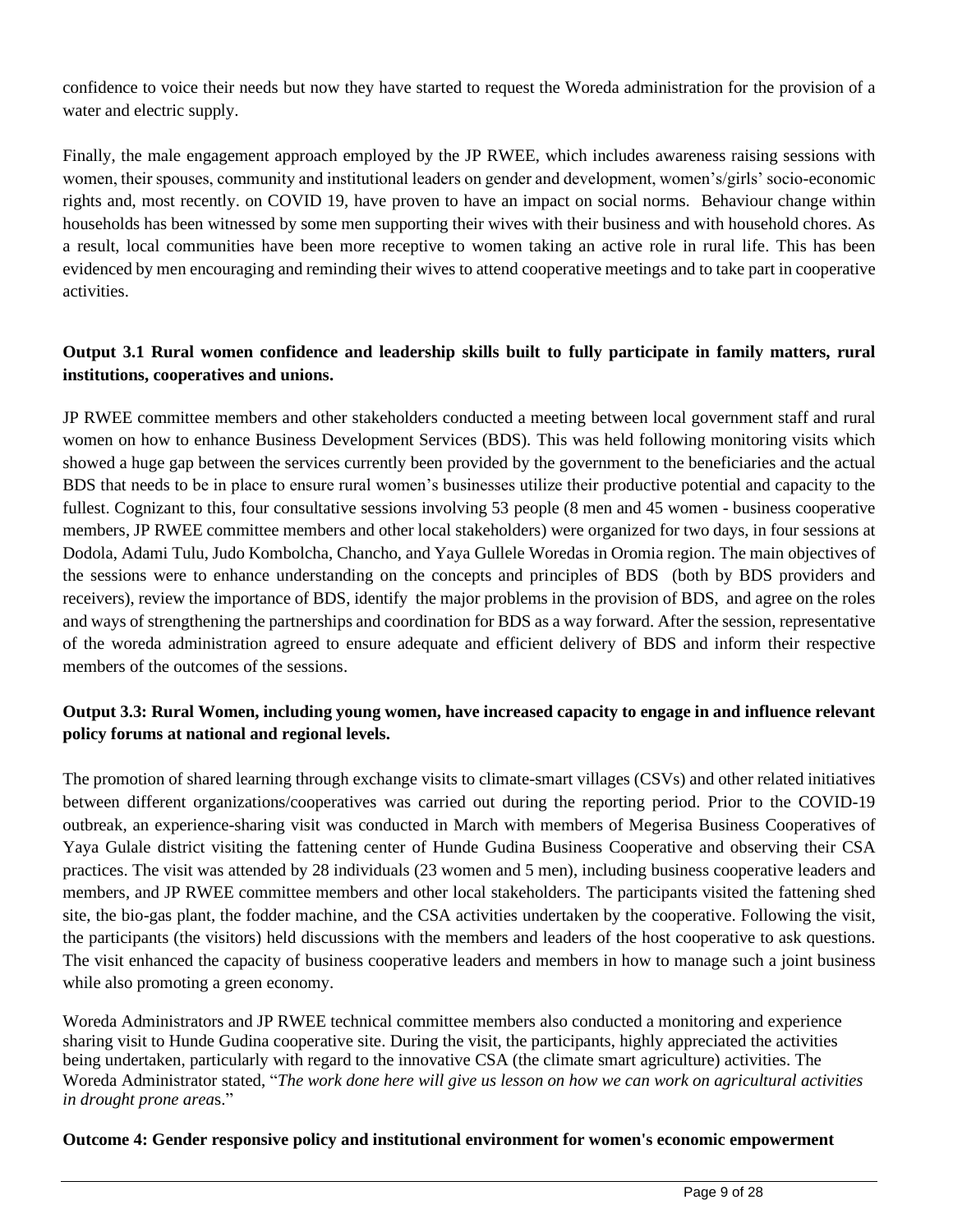confidence to voice their needs but now they have started to request the Woreda administration for the provision of a water and electric supply.

Finally, the male engagement approach employed by the JP RWEE, which includes awareness raising sessions with women, their spouses, community and institutional leaders on gender and development, women's/girls' socio-economic rights and, most recently. on COVID 19, have proven to have an impact on social norms. Behaviour change within households has been witnessed by some men supporting their wives with their business and with household chores. As a result, local communities have been more receptive to women taking an active role in rural life. This has been evidenced by men encouraging and reminding their wives to attend cooperative meetings and to take part in cooperative activities.

# **Output 3.1 Rural women confidence and leadership skills built to fully participate in family matters, rural institutions, cooperatives and unions.**

JP RWEE committee members and other stakeholders conducted a meeting between local government staff and rural women on how to enhance Business Development Services (BDS). This was held following monitoring visits which showed a huge gap between the services currently been provided by the government to the beneficiaries and the actual BDS that needs to be in place to ensure rural women's businesses utilize their productive potential and capacity to the fullest. Cognizant to this, four consultative sessions involving 53 people (8 men and 45 women - business cooperative members, JP RWEE committee members and other local stakeholders) were organized for two days, in four sessions at Dodola, Adami Tulu, Judo Kombolcha, Chancho, and Yaya Gullele Woredas in Oromia region. The main objectives of the sessions were to enhance understanding on the concepts and principles of BDS (both by BDS providers and receivers), review the importance of BDS, identify the major problems in the provision of BDS, and agree on the roles and ways of strengthening the partnerships and coordination for BDS as a way forward. After the session, representative of the woreda administration agreed to ensure adequate and efficient delivery of BDS and inform their respective members of the outcomes of the sessions.

# **Output 3.3: Rural Women, including young women, have increased capacity to engage in and influence relevant policy forums at national and regional levels.**

The promotion of shared learning through exchange visits to climate-smart villages (CSVs) and other related initiatives between different organizations/cooperatives was carried out during the reporting period. Prior to the COVID-19 outbreak, an experience-sharing visit was conducted in March with members of Megerisa Business Cooperatives of Yaya Gulale district visiting the fattening center of Hunde Gudina Business Cooperative and observing their CSA practices. The visit was attended by 28 individuals (23 women and 5 men), including business cooperative leaders and members, and JP RWEE committee members and other local stakeholders. The participants visited the fattening shed site, the bio-gas plant, the fodder machine, and the CSA activities undertaken by the cooperative. Following the visit, the participants (the visitors) held discussions with the members and leaders of the host cooperative to ask questions. The visit enhanced the capacity of business cooperative leaders and members in how to manage such a joint business while also promoting a green economy.

Woreda Administrators and JP RWEE technical committee members also conducted a monitoring and experience sharing visit to Hunde Gudina cooperative site. During the visit, the participants, highly appreciated the activities being undertaken, particularly with regard to the innovative CSA (the climate smart agriculture) activities. The Woreda Administrator stated, "*The work done here will give us lesson on how we can work on agricultural activities in drought prone area*s."

#### **Outcome 4: Gender responsive policy and institutional environment for women's economic empowerment**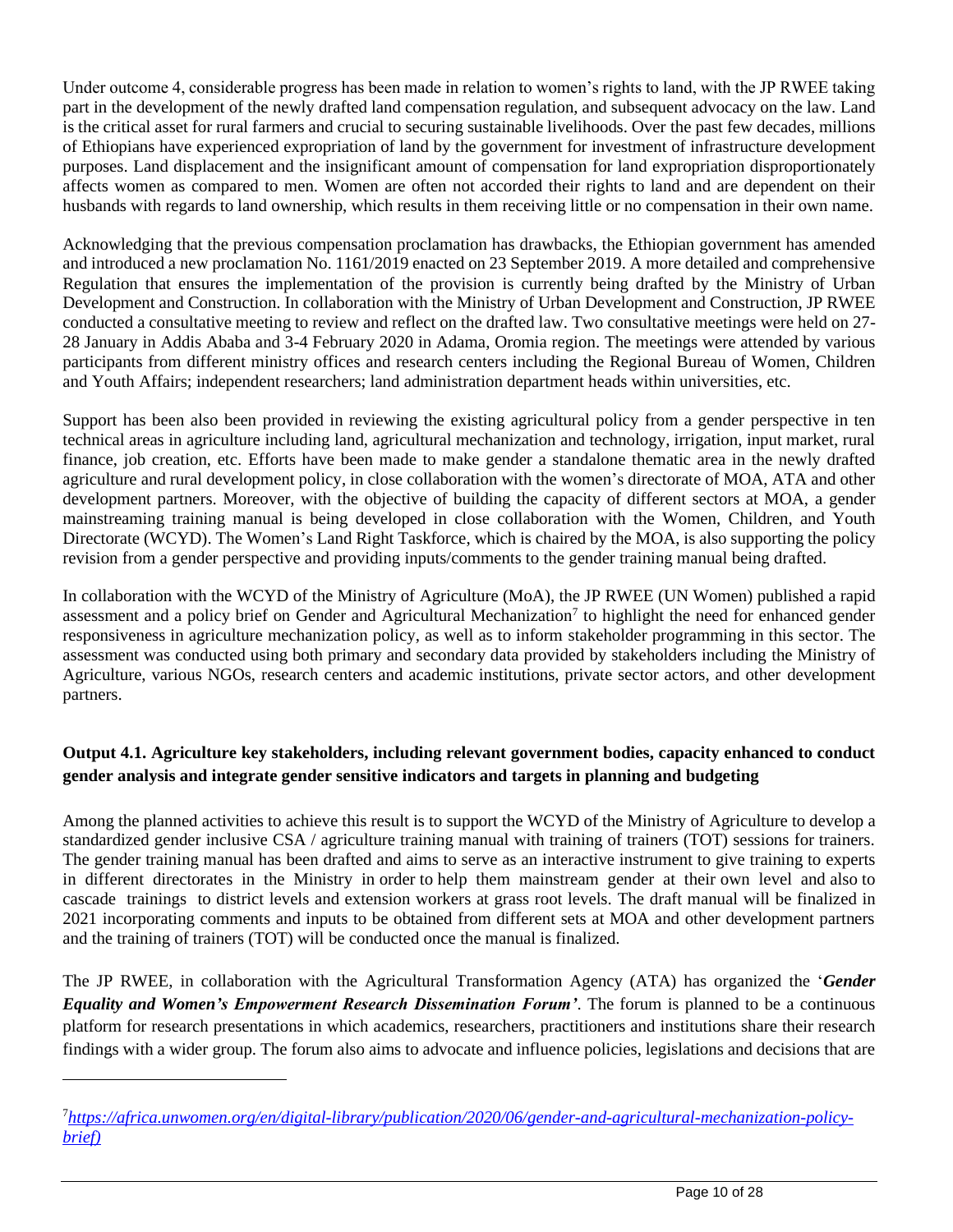Under outcome 4, considerable progress has been made in relation to women's rights to land, with the JP RWEE taking part in the development of the newly drafted land compensation regulation, and subsequent advocacy on the law. Land is the critical asset for rural farmers and crucial to securing sustainable livelihoods. Over the past few decades, millions of Ethiopians have experienced expropriation of land by the government for investment of infrastructure development purposes. Land displacement and the insignificant amount of compensation for land expropriation disproportionately affects women as compared to men. Women are often not accorded their rights to land and are dependent on their husbands with regards to land ownership, which results in them receiving little or no compensation in their own name.

Acknowledging that the previous compensation proclamation has drawbacks, the Ethiopian government has amended and introduced a new proclamation No. 1161/2019 enacted on 23 September 2019. A more detailed and comprehensive Regulation that ensures the implementation of the provision is currently being drafted by the Ministry of Urban Development and Construction. In collaboration with the Ministry of Urban Development and Construction, JP RWEE conducted a consultative meeting to review and reflect on the drafted law. Two consultative meetings were held on 27- 28 January in Addis Ababa and 3-4 February 2020 in Adama, Oromia region. The meetings were attended by various participants from different ministry offices and research centers including the Regional Bureau of Women, Children and Youth Affairs; independent researchers; land administration department heads within universities, etc.

Support has been also been provided in reviewing the existing agricultural policy from a gender perspective in ten technical areas in agriculture including land, agricultural mechanization and technology, irrigation, input market, rural finance, job creation, etc. Efforts have been made to make gender a standalone thematic area in the newly drafted agriculture and rural development policy, in close collaboration with the women's directorate of MOA, ATA and other development partners. Moreover, with the objective of building the capacity of different sectors at MOA, a gender mainstreaming training manual is being developed in close collaboration with the Women, Children, and Youth Directorate (WCYD). The Women's Land Right Taskforce, which is chaired by the MOA, is also supporting the policy revision from a gender perspective and providing inputs/comments to the gender training manual being drafted.

In collaboration with the WCYD of the Ministry of Agriculture (MoA), the JP RWEE (UN Women) published a rapid assessment and a policy brief on Gender and Agricultural Mechanization<sup>7</sup> to highlight the need for enhanced gender responsiveness in agriculture mechanization policy, as well as to inform stakeholder programming in this sector. The assessment was conducted using both primary and secondary data provided by stakeholders including the Ministry of Agriculture, various NGOs, research centers and academic institutions, private sector actors, and other development partners.

# **Output 4.1. Agriculture key stakeholders, including relevant government bodies, capacity enhanced to conduct gender analysis and integrate gender sensitive indicators and targets in planning and budgeting**

Among the planned activities to achieve this result is to support the WCYD of the Ministry of Agriculture to develop a standardized gender inclusive CSA / agriculture training manual with training of trainers (TOT) sessions for trainers. The gender training manual has been drafted and aims to serve as an interactive instrument to give training to experts in different directorates in the Ministry in order to help them mainstream gender at their own level and also to cascade trainings to district levels and extension workers at grass root levels. The draft manual will be finalized in 2021 incorporating comments and inputs to be obtained from different sets at MOA and other development partners and the training of trainers (TOT) will be conducted once the manual is finalized.

The JP RWEE, in collaboration with the Agricultural Transformation Agency (ATA) has organized the '*Gender Equality and Women's Empowerment Research Dissemination Forum'*. The forum is planned to be a continuous platform for research presentations in which academics, researchers, practitioners and institutions share their research findings with a wider group. The forum also aims to advocate and influence policies, legislations and decisions that are

<sup>7</sup>*[https://africa.unwomen.org/en/digital-library/publication/2020/06/gender-and-agricultural-mechanization-policy](https://africa.unwomen.org/en/digital-library/publication/2020/06/gender-and-agricultural-mechanization-policy-brief))[brief\)](https://africa.unwomen.org/en/digital-library/publication/2020/06/gender-and-agricultural-mechanization-policy-brief))*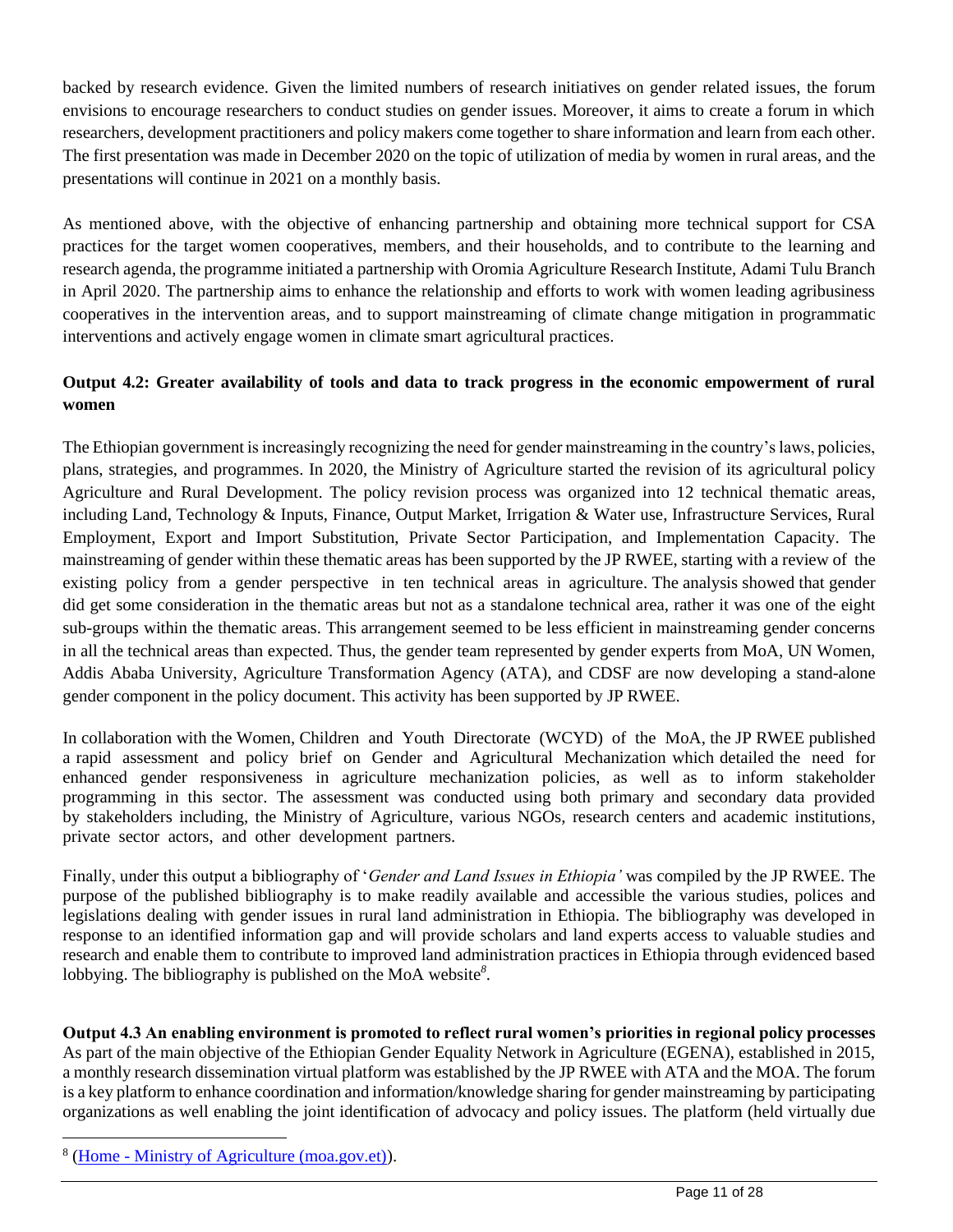backed by research evidence. Given the limited numbers of research initiatives on gender related issues, the forum envisions to encourage researchers to conduct studies on gender issues. Moreover, it aims to create a forum in which researchers, development practitioners and policy makers come together to share information and learn from each other. The first presentation was made in December 2020 on the topic of utilization of media by women in rural areas, and the presentations will continue in 2021 on a monthly basis.

As mentioned above, with the objective of enhancing partnership and obtaining more technical support for CSA practices for the target women cooperatives, members, and their households, and to contribute to the learning and research agenda, the programme initiated a partnership with Oromia Agriculture Research Institute, Adami Tulu Branch in April 2020. The partnership aims to enhance the relationship and efforts to work with women leading agribusiness cooperatives in the intervention areas, and to support mainstreaming of climate change mitigation in programmatic interventions and actively engage women in climate smart agricultural practices.

# **Output 4.2: Greater availability of tools and data to track progress in the economic empowerment of rural women**

The Ethiopian government is increasingly recognizing the need for gender mainstreaming in the country's laws, policies, plans, strategies, and programmes. In 2020, the Ministry of Agriculture started the revision of its agricultural policy Agriculture and Rural Development. The policy revision process was organized into 12 technical thematic areas, including Land, Technology & Inputs, Finance, Output Market, Irrigation & Water use, Infrastructure Services, Rural Employment, Export and Import Substitution, Private Sector Participation, and Implementation Capacity. The mainstreaming of gender within these thematic areas has been supported by the JP RWEE, starting with a review of the existing policy from a gender perspective in ten technical areas in agriculture. The analysis showed that gender did get some consideration in the thematic areas but not as a standalone technical area, rather it was one of the eight sub-groups within the thematic areas. This arrangement seemed to be less efficient in mainstreaming gender concerns in all the technical areas than expected. Thus, the gender team represented by gender experts from MoA, UN Women, Addis Ababa University, Agriculture Transformation Agency (ATA), and CDSF are now developing a stand-alone gender component in the policy document. This activity has been supported by JP RWEE.

In collaboration with the Women, Children and Youth Directorate (WCYD) of the MoA, the JP RWEE published a rapid assessment and policy brief on Gender and Agricultural Mechanization which detailed the need for enhanced gender responsiveness in agriculture mechanization policies, as well as to inform stakeholder programming in this sector. The assessment was conducted using both primary and secondary data provided by stakeholders including, the Ministry of Agriculture, various NGOs, research centers and academic institutions, private sector actors, and other development partners.

Finally, under this output a bibliography of '*Gender and Land Issues in Ethiopia'* was compiled by the JP RWEE. The purpose of the published bibliography is to make readily available and accessible the various studies, polices and legislations dealing with gender issues in rural land administration in Ethiopia. The bibliography was developed in response to an identified information gap and will provide scholars and land experts access to valuable studies and research and enable them to contribute to improved land administration practices in Ethiopia through evidenced based lobbying. The bibliography is published on the MoA website*<sup>8</sup>* .

**Output 4.3 An enabling environment is promoted to reflect rural women's priorities in regional policy processes** As part of the main objective of the Ethiopian Gender Equality Network in Agriculture (EGENA), established in 2015, a monthly research dissemination virtual platform was established by the JP RWEE with ATA and the MOA. The forum is a key platform to enhance coordination and information/knowledge sharing for gender mainstreaming by participating organizations as well enabling the joint identification of advocacy and policy issues. The platform (held virtually due

<sup>&</sup>lt;sup>8</sup> (Home - [Ministry of Agriculture \(moa.gov.et\)\)](http://www.moa.gov.et/web/guest/home).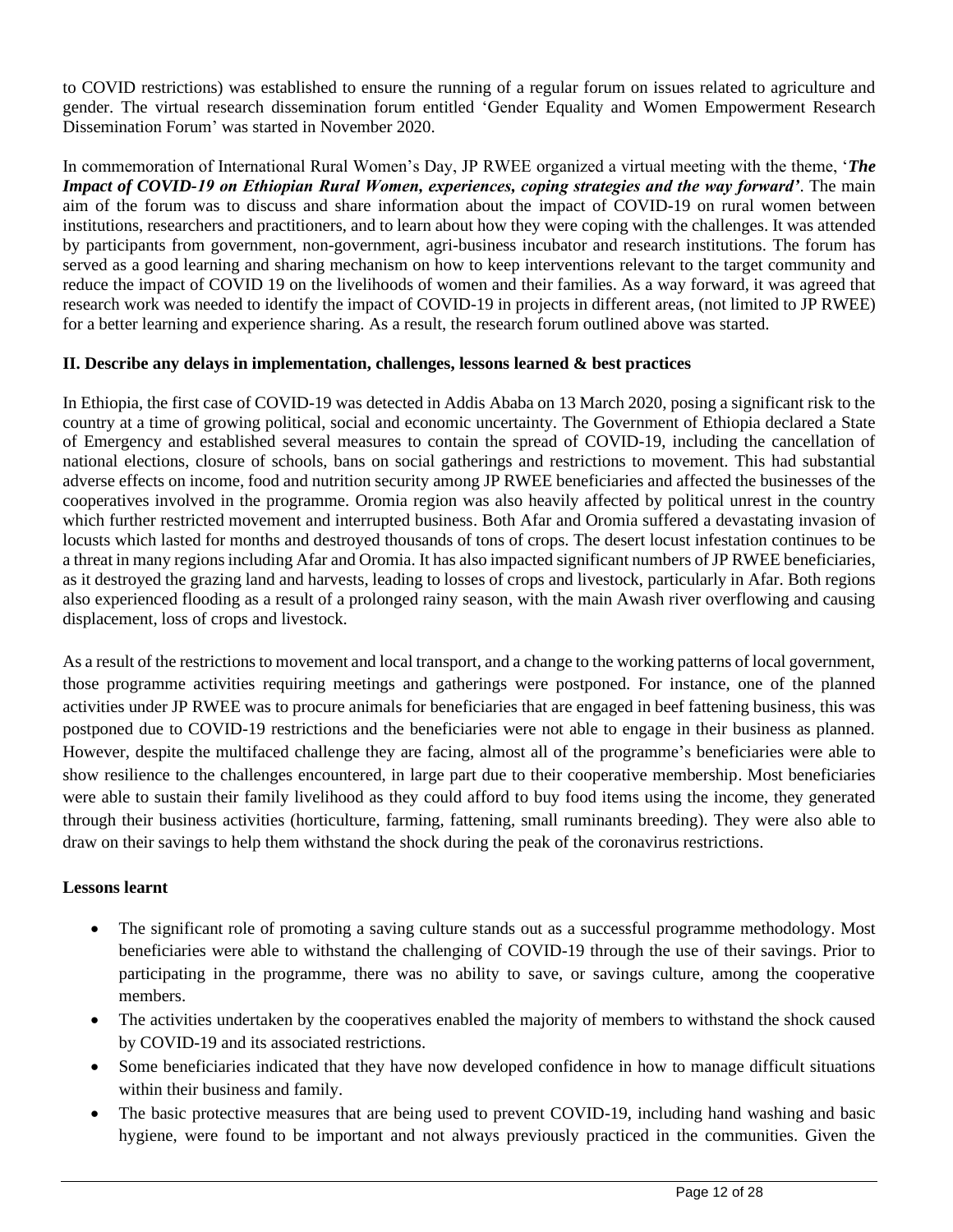to COVID restrictions) was established to ensure the running of a regular forum on issues related to agriculture and gender. The virtual research dissemination forum entitled 'Gender Equality and Women Empowerment Research Dissemination Forum' was started in November 2020.

In commemoration of International Rural Women's Day, JP RWEE organized a virtual meeting with the theme, '*The Impact of COVID-19 on Ethiopian Rural Women, experiences, coping strategies and the way forward'*. The main aim of the forum was to discuss and share information about the impact of COVID-19 on rural women between institutions, researchers and practitioners, and to learn about how they were coping with the challenges. It was attended by participants from government, non-government, agri-business incubator and research institutions. The forum has served as a good learning and sharing mechanism on how to keep interventions relevant to the target community and reduce the impact of COVID 19 on the livelihoods of women and their families. As a way forward, it was agreed that research work was needed to identify the impact of COVID-19 in projects in different areas, (not limited to JP RWEE) for a better learning and experience sharing. As a result, the research forum outlined above was started.

#### **II. Describe any delays in implementation, challenges, lessons learned & best practices**

In Ethiopia, the first case of COVID-19 was detected in Addis Ababa on 13 March 2020, posing a significant risk to the country at a time of growing political, social and economic uncertainty. The Government of Ethiopia declared a State of Emergency and established several measures to contain the spread of COVID-19, including the cancellation of national elections, closure of schools, bans on social gatherings and restrictions to movement. This had substantial adverse effects on income, food and nutrition security among JP RWEE beneficiaries and affected the businesses of the cooperatives involved in the programme. Oromia region was also heavily affected by political unrest in the country which further restricted movement and interrupted business. Both Afar and Oromia suffered a devastating invasion of locusts which lasted for months and destroyed thousands of tons of crops. The desert locust infestation continues to be a threat in many regions including Afar and Oromia. It has also impacted significant numbers of JP RWEE beneficiaries, as it destroyed the grazing land and harvests, leading to losses of crops and livestock, particularly in Afar. Both regions also experienced flooding as a result of a prolonged rainy season, with the main Awash river overflowing and causing displacement, loss of crops and livestock.

As a result of the restrictions to movement and local transport, and a change to the working patterns of local government, those programme activities requiring meetings and gatherings were postponed. For instance, one of the planned activities under JP RWEE was to procure animals for beneficiaries that are engaged in beef fattening business, this was postponed due to COVID-19 restrictions and the beneficiaries were not able to engage in their business as planned. However, despite the multifaced challenge they are facing, almost all of the programme's beneficiaries were able to show resilience to the challenges encountered, in large part due to their cooperative membership. Most beneficiaries were able to sustain their family livelihood as they could afford to buy food items using the income, they generated through their business activities (horticulture, farming, fattening, small ruminants breeding). They were also able to draw on their savings to help them withstand the shock during the peak of the coronavirus restrictions.

#### **Lessons learnt**

- The significant role of promoting a saving culture stands out as a successful programme methodology. Most beneficiaries were able to withstand the challenging of COVID-19 through the use of their savings. Prior to participating in the programme, there was no ability to save, or savings culture, among the cooperative members.
- The activities undertaken by the cooperatives enabled the majority of members to withstand the shock caused by COVID-19 and its associated restrictions.
- Some beneficiaries indicated that they have now developed confidence in how to manage difficult situations within their business and family.
- The basic protective measures that are being used to prevent COVID-19, including hand washing and basic hygiene, were found to be important and not always previously practiced in the communities. Given the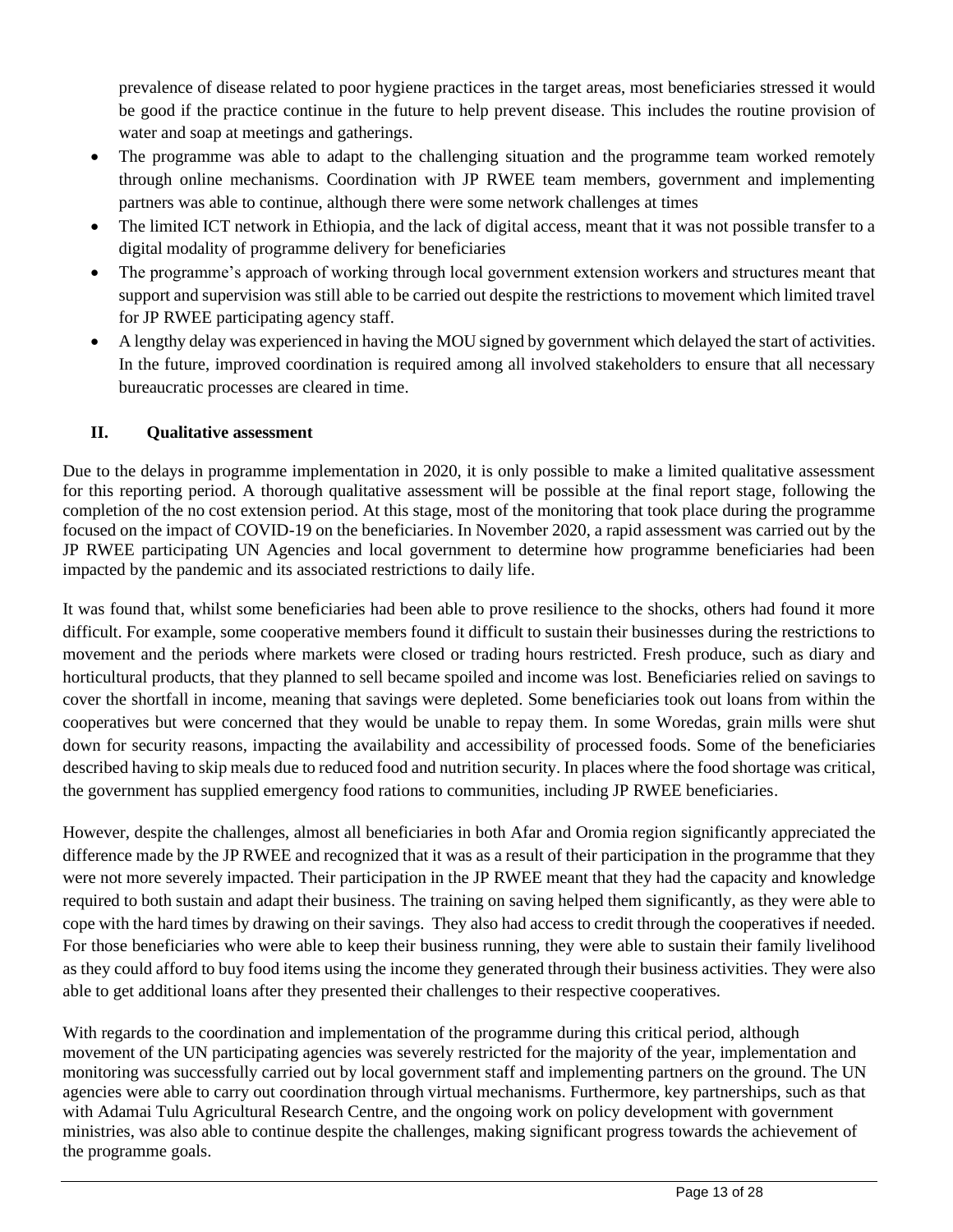prevalence of disease related to poor hygiene practices in the target areas, most beneficiaries stressed it would be good if the practice continue in the future to help prevent disease. This includes the routine provision of water and soap at meetings and gatherings.

- The programme was able to adapt to the challenging situation and the programme team worked remotely through online mechanisms. Coordination with JP RWEE team members, government and implementing partners was able to continue, although there were some network challenges at times
- The limited ICT network in Ethiopia, and the lack of digital access, meant that it was not possible transfer to a digital modality of programme delivery for beneficiaries
- The programme's approach of working through local government extension workers and structures meant that support and supervision was still able to be carried out despite the restrictions to movement which limited travel for JP RWEE participating agency staff.
- A lengthy delay was experienced in having the MOU signed by government which delayed the start of activities. In the future, improved coordination is required among all involved stakeholders to ensure that all necessary bureaucratic processes are cleared in time.

## **II. Qualitative assessment**

Due to the delays in programme implementation in 2020, it is only possible to make a limited qualitative assessment for this reporting period. A thorough qualitative assessment will be possible at the final report stage, following the completion of the no cost extension period. At this stage, most of the monitoring that took place during the programme focused on the impact of COVID-19 on the beneficiaries. In November 2020, a rapid assessment was carried out by the JP RWEE participating UN Agencies and local government to determine how programme beneficiaries had been impacted by the pandemic and its associated restrictions to daily life.

It was found that, whilst some beneficiaries had been able to prove resilience to the shocks, others had found it more difficult. For example, some cooperative members found it difficult to sustain their businesses during the restrictions to movement and the periods where markets were closed or trading hours restricted. Fresh produce, such as diary and horticultural products, that they planned to sell became spoiled and income was lost. Beneficiaries relied on savings to cover the shortfall in income, meaning that savings were depleted. Some beneficiaries took out loans from within the cooperatives but were concerned that they would be unable to repay them. In some Woredas, grain mills were shut down for security reasons, impacting the availability and accessibility of processed foods. Some of the beneficiaries described having to skip meals due to reduced food and nutrition security. In places where the food shortage was critical, the government has supplied emergency food rations to communities, including JP RWEE beneficiaries.

However, despite the challenges, almost all beneficiaries in both Afar and Oromia region significantly appreciated the difference made by the JP RWEE and recognized that it was as a result of their participation in the programme that they were not more severely impacted. Their participation in the JP RWEE meant that they had the capacity and knowledge required to both sustain and adapt their business. The training on saving helped them significantly, as they were able to cope with the hard times by drawing on their savings. They also had access to credit through the cooperatives if needed. For those beneficiaries who were able to keep their business running, they were able to sustain their family livelihood as they could afford to buy food items using the income they generated through their business activities. They were also able to get additional loans after they presented their challenges to their respective cooperatives.

With regards to the coordination and implementation of the programme during this critical period, although movement of the UN participating agencies was severely restricted for the majority of the year, implementation and monitoring was successfully carried out by local government staff and implementing partners on the ground. The UN agencies were able to carry out coordination through virtual mechanisms. Furthermore, key partnerships, such as that with Adamai Tulu Agricultural Research Centre, and the ongoing work on policy development with government ministries, was also able to continue despite the challenges, making significant progress towards the achievement of the programme goals.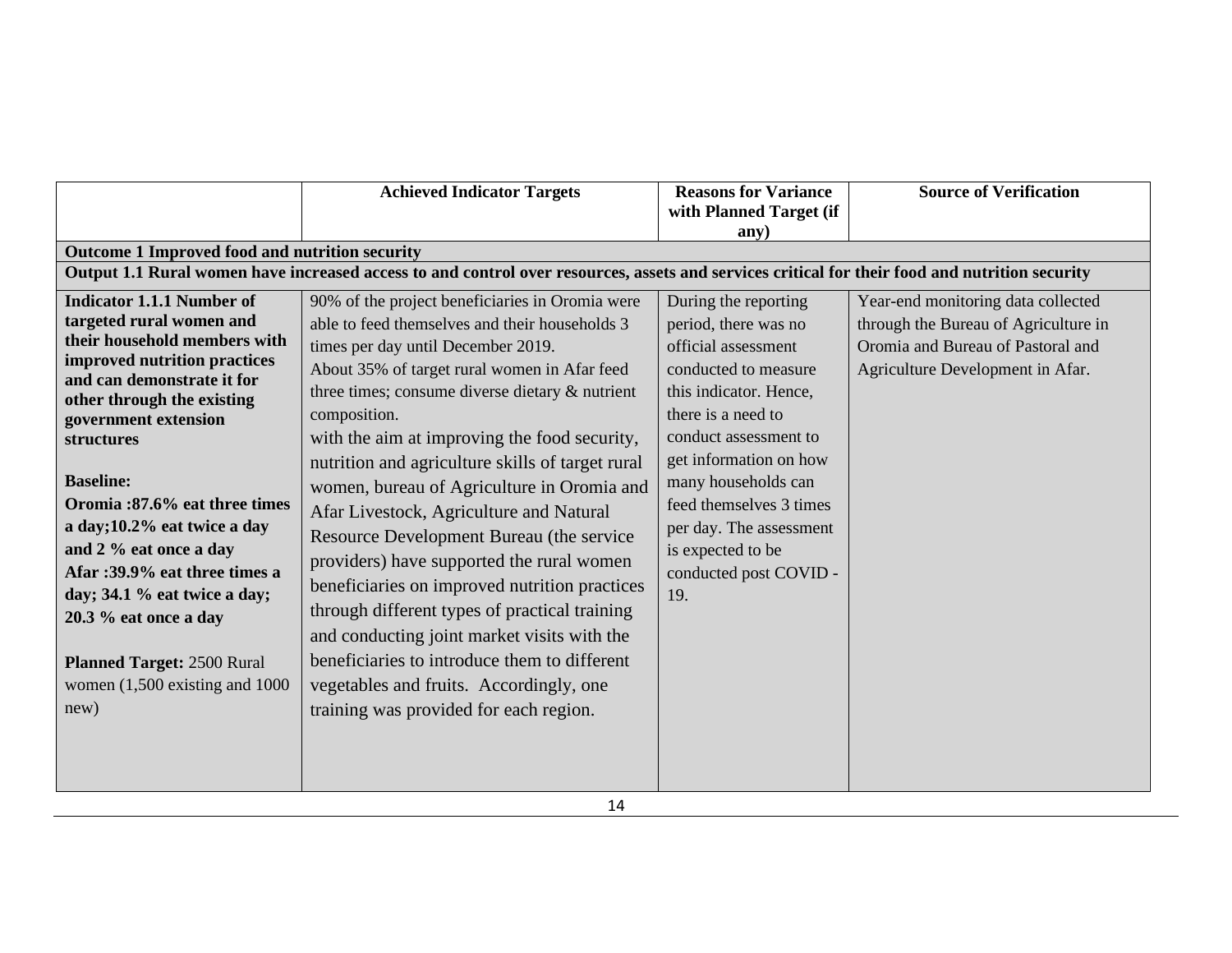| <b>Achieved Indicator Targets</b>                                                                                                                                                                                                                                                                                                                                                                                                                                                                                                                                                                                                                                                                                                                                                                                                      | <b>Reasons for Variance</b><br>with Planned Target (if                                                                                                                                                                                                                                                                            | <b>Source of Verification</b>                                                                                                                       |
|----------------------------------------------------------------------------------------------------------------------------------------------------------------------------------------------------------------------------------------------------------------------------------------------------------------------------------------------------------------------------------------------------------------------------------------------------------------------------------------------------------------------------------------------------------------------------------------------------------------------------------------------------------------------------------------------------------------------------------------------------------------------------------------------------------------------------------------|-----------------------------------------------------------------------------------------------------------------------------------------------------------------------------------------------------------------------------------------------------------------------------------------------------------------------------------|-----------------------------------------------------------------------------------------------------------------------------------------------------|
|                                                                                                                                                                                                                                                                                                                                                                                                                                                                                                                                                                                                                                                                                                                                                                                                                                        | any)                                                                                                                                                                                                                                                                                                                              |                                                                                                                                                     |
|                                                                                                                                                                                                                                                                                                                                                                                                                                                                                                                                                                                                                                                                                                                                                                                                                                        |                                                                                                                                                                                                                                                                                                                                   |                                                                                                                                                     |
|                                                                                                                                                                                                                                                                                                                                                                                                                                                                                                                                                                                                                                                                                                                                                                                                                                        |                                                                                                                                                                                                                                                                                                                                   |                                                                                                                                                     |
| 90% of the project beneficiaries in Oromia were<br>able to feed themselves and their households 3<br>times per day until December 2019.<br>About 35% of target rural women in Afar feed<br>three times; consume diverse dietary & nutrient<br>composition.<br>with the aim at improving the food security,<br>nutrition and agriculture skills of target rural<br>women, bureau of Agriculture in Oromia and<br>Afar Livestock, Agriculture and Natural<br>Resource Development Bureau (the service<br>providers) have supported the rural women<br>beneficiaries on improved nutrition practices<br>through different types of practical training<br>and conducting joint market visits with the<br>beneficiaries to introduce them to different<br>vegetables and fruits. Accordingly, one<br>training was provided for each region. | During the reporting<br>period, there was no<br>official assessment<br>conducted to measure<br>this indicator. Hence,<br>there is a need to<br>conduct assessment to<br>get information on how<br>many households can<br>feed themselves 3 times<br>per day. The assessment<br>is expected to be<br>conducted post COVID -<br>19. | Year-end monitoring data collected<br>through the Bureau of Agriculture in<br>Oromia and Bureau of Pastoral and<br>Agriculture Development in Afar. |
|                                                                                                                                                                                                                                                                                                                                                                                                                                                                                                                                                                                                                                                                                                                                                                                                                                        | Outcome 1 Improved food and nutrition security                                                                                                                                                                                                                                                                                    | Output 1.1 Rural women have increased access to and control over resources, assets and services critical for their food and nutrition security      |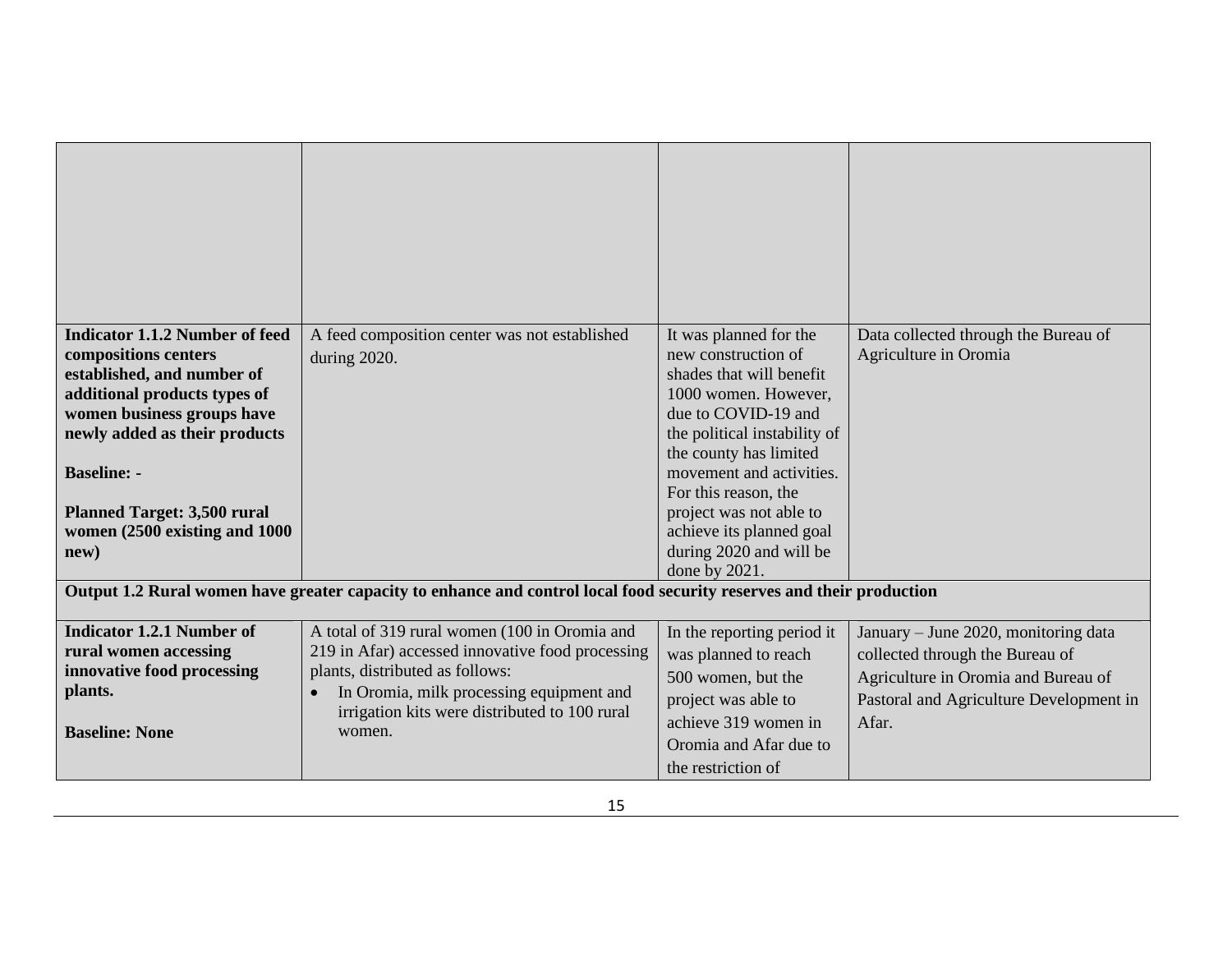| <b>Indicator 1.1.2 Number of feed</b><br>compositions centers<br>established, and number of<br>additional products types of<br>women business groups have<br>newly added as their products<br><b>Baseline: -</b><br><b>Planned Target: 3,500 rural</b><br>women (2500 existing and 1000<br>new) | A feed composition center was not established<br>during 2020.                                                                                                                                                                                            | It was planned for the<br>new construction of<br>shades that will benefit<br>1000 women. However,<br>due to COVID-19 and<br>the political instability of<br>the county has limited<br>movement and activities.<br>For this reason, the<br>project was not able to<br>achieve its planned goal<br>during 2020 and will be<br>done by 2021. | Data collected through the Bureau of<br>Agriculture in Oromia                                                                                                      |
|-------------------------------------------------------------------------------------------------------------------------------------------------------------------------------------------------------------------------------------------------------------------------------------------------|----------------------------------------------------------------------------------------------------------------------------------------------------------------------------------------------------------------------------------------------------------|-------------------------------------------------------------------------------------------------------------------------------------------------------------------------------------------------------------------------------------------------------------------------------------------------------------------------------------------|--------------------------------------------------------------------------------------------------------------------------------------------------------------------|
|                                                                                                                                                                                                                                                                                                 | Output 1.2 Rural women have greater capacity to enhance and control local food security reserves and their production                                                                                                                                    |                                                                                                                                                                                                                                                                                                                                           |                                                                                                                                                                    |
| <b>Indicator 1.2.1 Number of</b><br>rural women accessing<br>innovative food processing<br>plants.<br><b>Baseline: None</b>                                                                                                                                                                     | A total of 319 rural women (100 in Oromia and<br>219 in Afar) accessed innovative food processing<br>plants, distributed as follows:<br>In Oromia, milk processing equipment and<br>$\bullet$<br>irrigation kits were distributed to 100 rural<br>women. | In the reporting period it<br>was planned to reach<br>500 women, but the<br>project was able to<br>achieve 319 women in<br>Oromia and Afar due to<br>the restriction of                                                                                                                                                                   | January – June 2020, monitoring data<br>collected through the Bureau of<br>Agriculture in Oromia and Bureau of<br>Pastoral and Agriculture Development in<br>Afar. |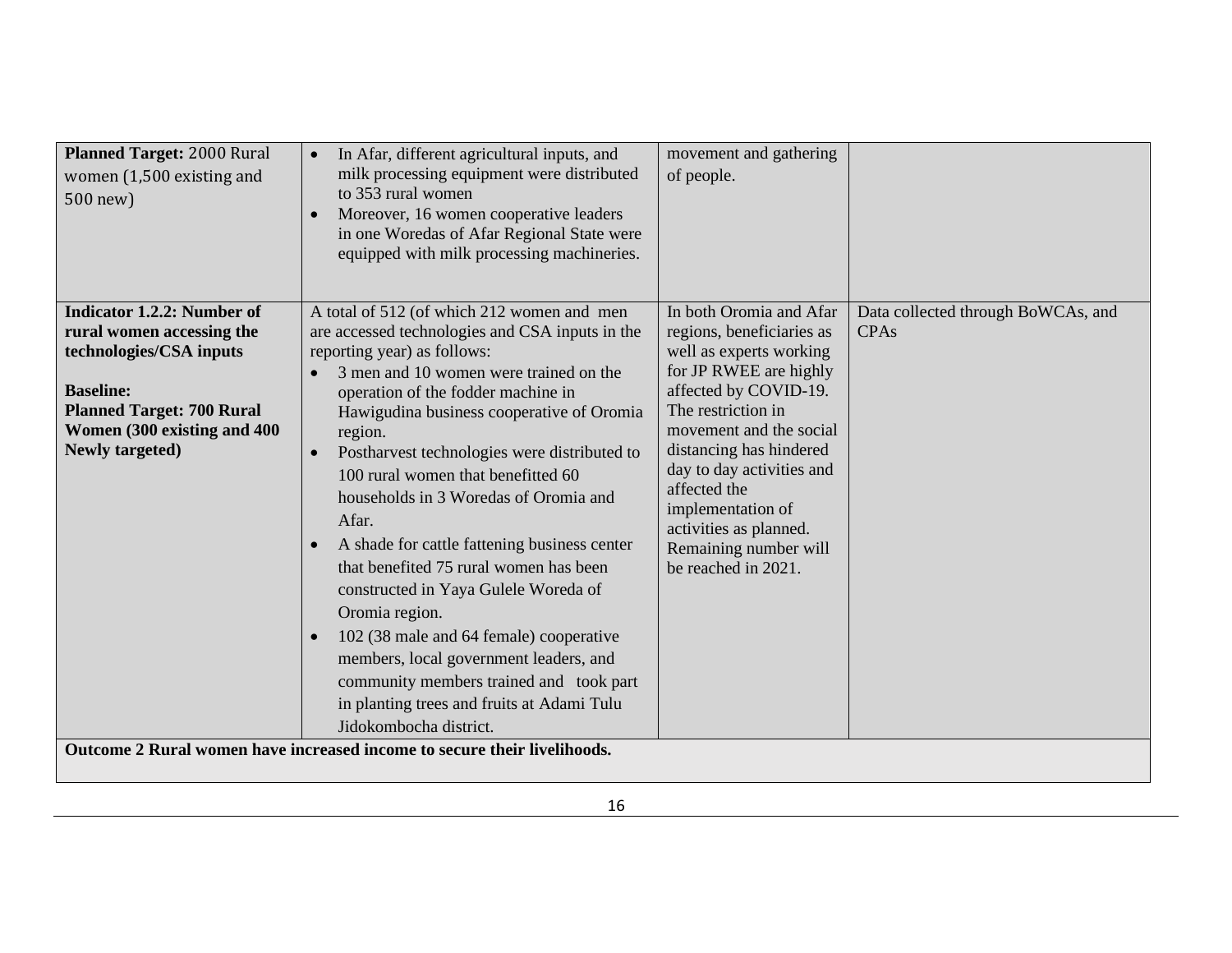| Planned Target: 2000 Rural<br>women (1,500 existing and<br>500 new)                                                                                                                                        | In Afar, different agricultural inputs, and<br>milk processing equipment were distributed<br>to 353 rural women<br>Moreover, 16 women cooperative leaders<br>in one Woredas of Afar Regional State were<br>equipped with milk processing machineries.                                                                                                                                                                                                                                                                                                                                                                                                                                                                                                                                              | movement and gathering<br>of people.                                                                                                                                                                                                                                                                                                                       |                                                   |
|------------------------------------------------------------------------------------------------------------------------------------------------------------------------------------------------------------|----------------------------------------------------------------------------------------------------------------------------------------------------------------------------------------------------------------------------------------------------------------------------------------------------------------------------------------------------------------------------------------------------------------------------------------------------------------------------------------------------------------------------------------------------------------------------------------------------------------------------------------------------------------------------------------------------------------------------------------------------------------------------------------------------|------------------------------------------------------------------------------------------------------------------------------------------------------------------------------------------------------------------------------------------------------------------------------------------------------------------------------------------------------------|---------------------------------------------------|
| <b>Indicator 1.2.2: Number of</b><br>rural women accessing the<br>technologies/CSA inputs<br><b>Baseline:</b><br><b>Planned Target: 700 Rural</b><br>Women (300 existing and 400<br><b>Newly targeted)</b> | A total of 512 (of which 212 women and men<br>are accessed technologies and CSA inputs in the<br>reporting year) as follows:<br>3 men and 10 women were trained on the<br>operation of the fodder machine in<br>Hawigudina business cooperative of Oromia<br>region.<br>Postharvest technologies were distributed to<br>$\bullet$<br>100 rural women that benefitted 60<br>households in 3 Woredas of Oromia and<br>Afar.<br>A shade for cattle fattening business center<br>that benefited 75 rural women has been<br>constructed in Yaya Gulele Woreda of<br>Oromia region.<br>102 (38 male and 64 female) cooperative<br>$\bullet$<br>members, local government leaders, and<br>community members trained and took part<br>in planting trees and fruits at Adami Tulu<br>Jidokombocha district. | In both Oromia and Afar<br>regions, beneficiaries as<br>well as experts working<br>for JP RWEE are highly<br>affected by COVID-19.<br>The restriction in<br>movement and the social<br>distancing has hindered<br>day to day activities and<br>affected the<br>implementation of<br>activities as planned.<br>Remaining number will<br>be reached in 2021. | Data collected through BoWCAs, and<br><b>CPAs</b> |
|                                                                                                                                                                                                            | Outcome 2 Rural women have increased income to secure their livelihoods.                                                                                                                                                                                                                                                                                                                                                                                                                                                                                                                                                                                                                                                                                                                           |                                                                                                                                                                                                                                                                                                                                                            |                                                   |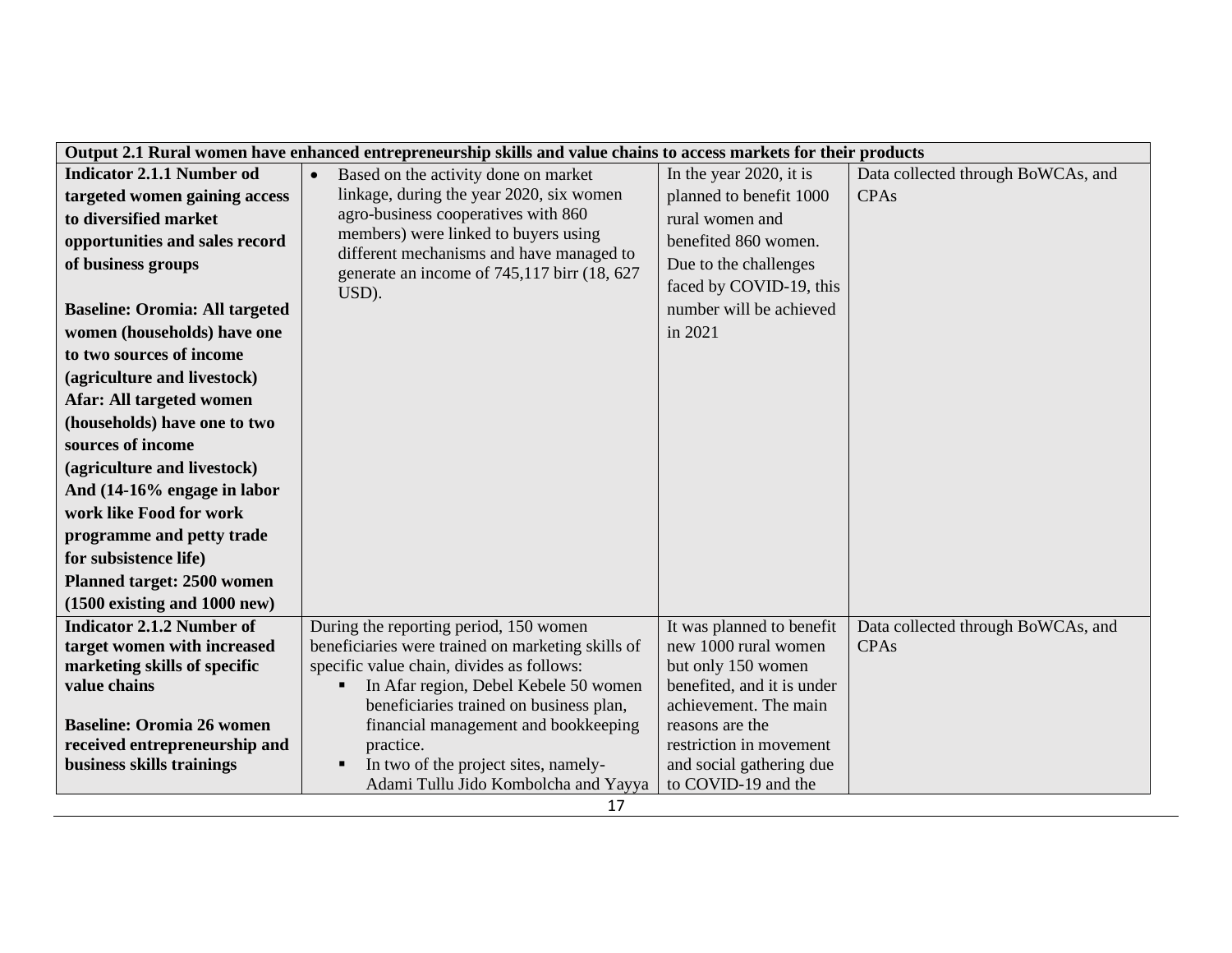|                                       |                                                                                         | Output 2.1 Rural women have enhanced entrepreneurship skills and value chains to access markets for their products |                                    |  |  |
|---------------------------------------|-----------------------------------------------------------------------------------------|--------------------------------------------------------------------------------------------------------------------|------------------------------------|--|--|
| <b>Indicator 2.1.1 Number od</b>      | Based on the activity done on market<br>$\bullet$                                       | In the year 2020, it is                                                                                            | Data collected through BoWCAs, and |  |  |
| targeted women gaining access         | linkage, during the year 2020, six women                                                | planned to benefit 1000                                                                                            | <b>CPAs</b>                        |  |  |
| to diversified market                 | agro-business cooperatives with 860                                                     | rural women and                                                                                                    |                                    |  |  |
| opportunities and sales record        | members) were linked to buyers using                                                    | benefited 860 women.                                                                                               |                                    |  |  |
| of business groups                    | different mechanisms and have managed to<br>generate an income of 745,117 birr (18, 627 | Due to the challenges                                                                                              |                                    |  |  |
|                                       | USD).                                                                                   | faced by COVID-19, this                                                                                            |                                    |  |  |
| <b>Baseline: Oromia: All targeted</b> |                                                                                         | number will be achieved                                                                                            |                                    |  |  |
| women (households) have one           |                                                                                         | in 2021                                                                                                            |                                    |  |  |
| to two sources of income              |                                                                                         |                                                                                                                    |                                    |  |  |
| (agriculture and livestock)           |                                                                                         |                                                                                                                    |                                    |  |  |
| <b>Afar: All targeted women</b>       |                                                                                         |                                                                                                                    |                                    |  |  |
| (households) have one to two          |                                                                                         |                                                                                                                    |                                    |  |  |
| sources of income                     |                                                                                         |                                                                                                                    |                                    |  |  |
| (agriculture and livestock)           |                                                                                         |                                                                                                                    |                                    |  |  |
| And (14-16% engage in labor           |                                                                                         |                                                                                                                    |                                    |  |  |
| work like Food for work               |                                                                                         |                                                                                                                    |                                    |  |  |
| programme and petty trade             |                                                                                         |                                                                                                                    |                                    |  |  |
| for subsistence life)                 |                                                                                         |                                                                                                                    |                                    |  |  |
| <b>Planned target: 2500 women</b>     |                                                                                         |                                                                                                                    |                                    |  |  |
| $(1500$ existing and $1000$ new)      |                                                                                         |                                                                                                                    |                                    |  |  |
| <b>Indicator 2.1.2 Number of</b>      | During the reporting period, 150 women                                                  | It was planned to benefit                                                                                          | Data collected through BoWCAs, and |  |  |
| target women with increased           | beneficiaries were trained on marketing skills of                                       | new 1000 rural women                                                                                               | <b>CPAs</b>                        |  |  |
| marketing skills of specific          | specific value chain, divides as follows:                                               | but only 150 women                                                                                                 |                                    |  |  |
| value chains                          | In Afar region, Debel Kebele 50 women                                                   | benefited, and it is under                                                                                         |                                    |  |  |
| <b>Baseline: Oromia 26 women</b>      | beneficiaries trained on business plan,<br>financial management and bookkeeping         | achievement. The main<br>reasons are the                                                                           |                                    |  |  |
| received entrepreneurship and         | practice.                                                                               | restriction in movement                                                                                            |                                    |  |  |
| business skills trainings             | In two of the project sites, namely-<br>$\blacksquare$                                  | and social gathering due                                                                                           |                                    |  |  |
|                                       | Adami Tullu Jido Kombolcha and Yayya                                                    | to COVID-19 and the                                                                                                |                                    |  |  |
|                                       | 17                                                                                      |                                                                                                                    |                                    |  |  |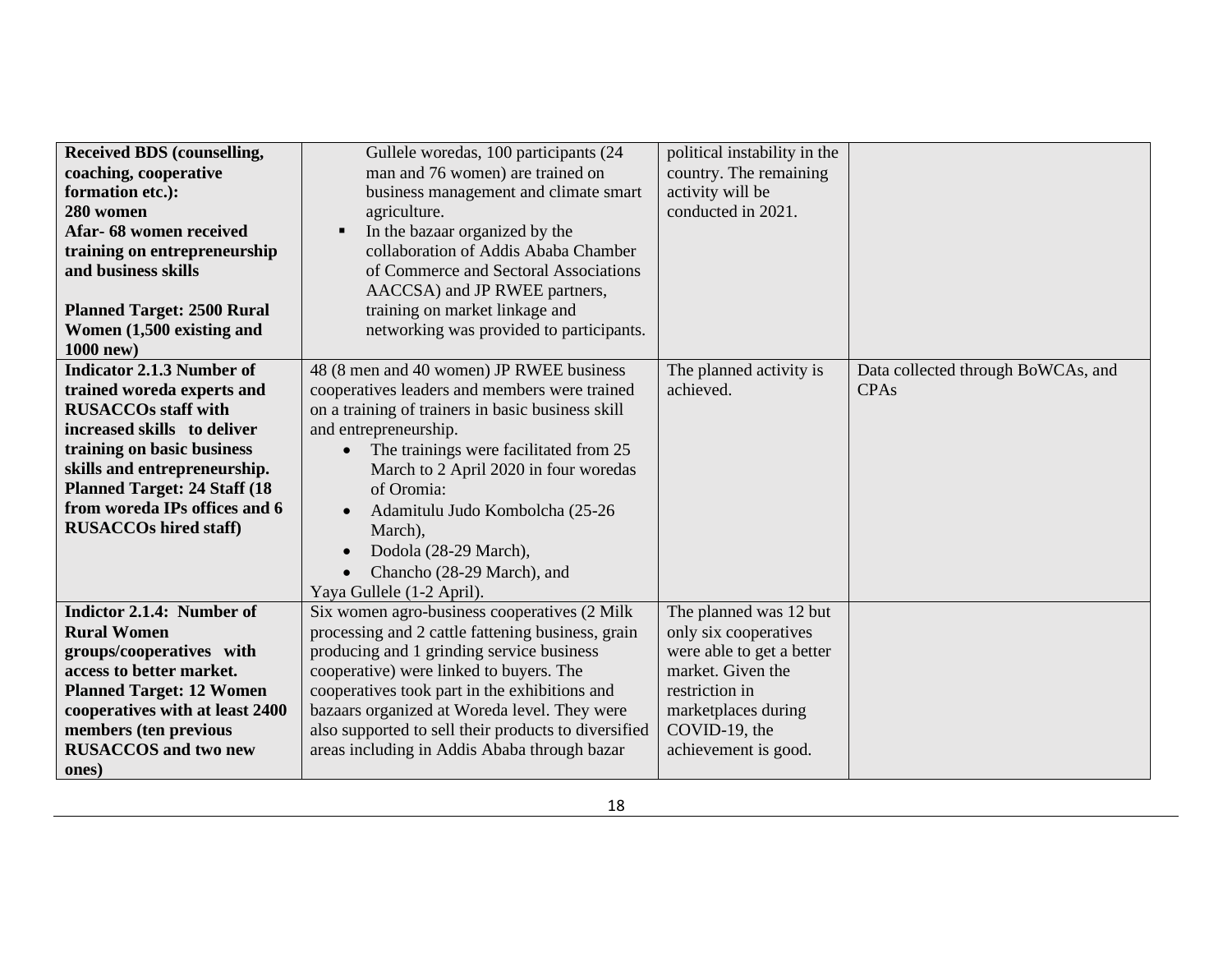| <b>Received BDS (counselling,</b>    | Gullele woredas, 100 participants (24                | political instability in the |                                    |
|--------------------------------------|------------------------------------------------------|------------------------------|------------------------------------|
| coaching, cooperative                | man and 76 women) are trained on                     | country. The remaining       |                                    |
| formation etc.):                     | business management and climate smart                | activity will be             |                                    |
| 280 women                            | agriculture.                                         | conducted in 2021.           |                                    |
| Afar- 68 women received              | In the bazaar organized by the<br>$\blacksquare$     |                              |                                    |
| training on entrepreneurship         | collaboration of Addis Ababa Chamber                 |                              |                                    |
| and business skills                  | of Commerce and Sectoral Associations                |                              |                                    |
|                                      | AACCSA) and JP RWEE partners,                        |                              |                                    |
| <b>Planned Target: 2500 Rural</b>    | training on market linkage and                       |                              |                                    |
| Women (1,500 existing and            | networking was provided to participants.             |                              |                                    |
| 1000 new)                            |                                                      |                              |                                    |
| <b>Indicator 2.1.3 Number of</b>     | 48 (8 men and 40 women) JP RWEE business             | The planned activity is      | Data collected through BoWCAs, and |
| trained woreda experts and           | cooperatives leaders and members were trained        | achieved.                    | CPA <sub>s</sub>                   |
| <b>RUSACCOs staff with</b>           | on a training of trainers in basic business skill    |                              |                                    |
| increased skills to deliver          | and entrepreneurship.                                |                              |                                    |
| training on basic business           | The trainings were facilitated from 25               |                              |                                    |
| skills and entrepreneurship.         | March to 2 April 2020 in four woredas                |                              |                                    |
| <b>Planned Target: 24 Staff (18)</b> | of Oromia:                                           |                              |                                    |
| from woreda IPs offices and 6        | Adamitulu Judo Kombolcha (25-26<br>$\bullet$         |                              |                                    |
| <b>RUSACCOs hired staff)</b>         | March),                                              |                              |                                    |
|                                      | Dodola (28-29 March),                                |                              |                                    |
|                                      | Chancho (28-29 March), and                           |                              |                                    |
|                                      | Yaya Gullele (1-2 April).                            |                              |                                    |
| Indictor 2.1.4: Number of            | Six women agro-business cooperatives (2 Milk         | The planned was 12 but       |                                    |
| <b>Rural Women</b>                   | processing and 2 cattle fattening business, grain    | only six cooperatives        |                                    |
| groups/cooperatives with             | producing and 1 grinding service business            | were able to get a better    |                                    |
| access to better market.             | cooperative) were linked to buyers. The              | market. Given the            |                                    |
| <b>Planned Target: 12 Women</b>      | cooperatives took part in the exhibitions and        | restriction in               |                                    |
| cooperatives with at least 2400      | bazaars organized at Woreda level. They were         | marketplaces during          |                                    |
| members (ten previous                | also supported to sell their products to diversified | COVID-19, the                |                                    |
| <b>RUSACCOS</b> and two new          | areas including in Addis Ababa through bazar         | achievement is good.         |                                    |
| ones)                                |                                                      |                              |                                    |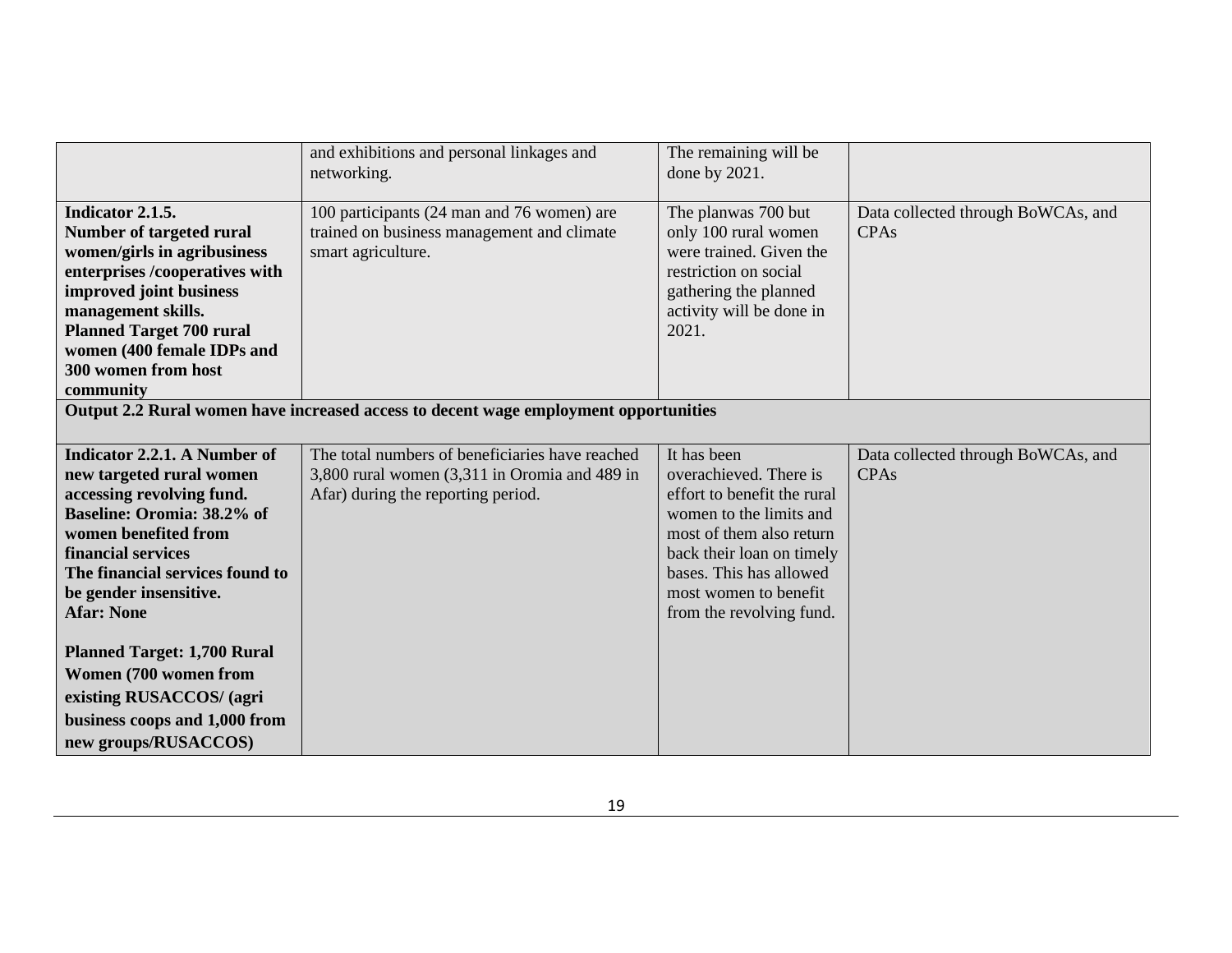|                                                                                                                                                                                                                                                                     | and exhibitions and personal linkages and<br>networking.                                                                               | The remaining will be<br>done by 2021.                                                                                                                                                                                                   |                                                   |
|---------------------------------------------------------------------------------------------------------------------------------------------------------------------------------------------------------------------------------------------------------------------|----------------------------------------------------------------------------------------------------------------------------------------|------------------------------------------------------------------------------------------------------------------------------------------------------------------------------------------------------------------------------------------|---------------------------------------------------|
| Indicator 2.1.5.<br>Number of targeted rural<br>women/girls in agribusiness<br>enterprises /cooperatives with<br>improved joint business<br>management skills.<br><b>Planned Target 700 rural</b><br>women (400 female IDPs and<br>300 women from host<br>community | 100 participants (24 man and 76 women) are<br>trained on business management and climate<br>smart agriculture.                         | The planwas 700 but<br>only 100 rural women<br>were trained. Given the<br>restriction on social<br>gathering the planned<br>activity will be done in<br>2021.                                                                            | Data collected through BoWCAs, and<br><b>CPAs</b> |
|                                                                                                                                                                                                                                                                     | Output 2.2 Rural women have increased access to decent wage employment opportunities                                                   |                                                                                                                                                                                                                                          |                                                   |
| <b>Indicator 2.2.1. A Number of</b><br>new targeted rural women<br>accessing revolving fund.<br>Baseline: Oromia: 38.2% of<br>women benefited from<br>financial services<br>The financial services found to<br>be gender insensitive.<br><b>Afar: None</b>          | The total numbers of beneficiaries have reached<br>3,800 rural women (3,311 in Oromia and 489 in<br>Afar) during the reporting period. | It has been<br>overachieved. There is<br>effort to benefit the rural<br>women to the limits and<br>most of them also return<br>back their loan on timely<br>bases. This has allowed<br>most women to benefit<br>from the revolving fund. | Data collected through BoWCAs, and<br><b>CPAs</b> |
| <b>Planned Target: 1,700 Rural</b><br>Women (700 women from<br>existing RUSACCOS/ (agri<br>business coops and 1,000 from<br>new groups/RUSACCOS)                                                                                                                    |                                                                                                                                        |                                                                                                                                                                                                                                          |                                                   |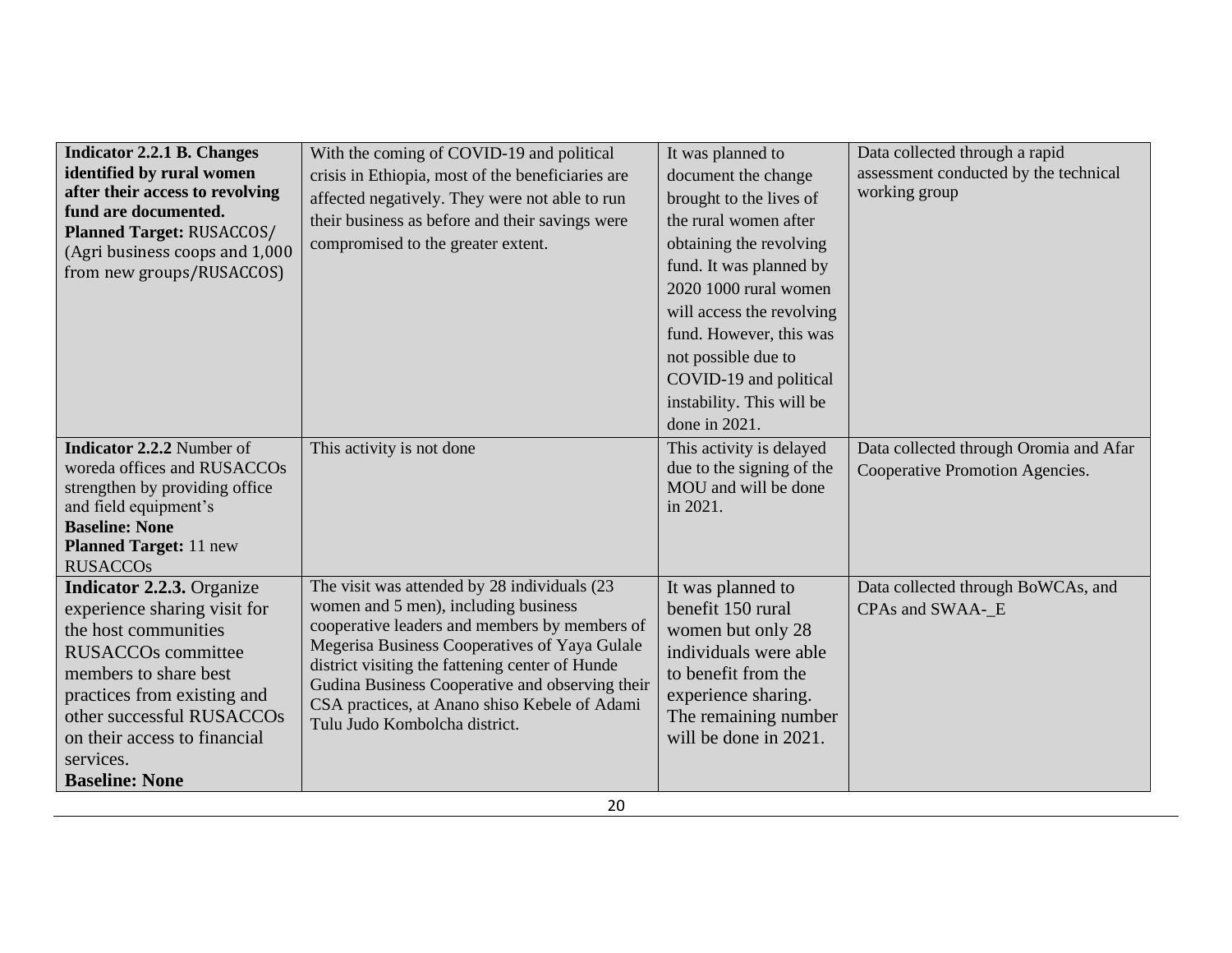| <b>Indicator 2.2.1 B. Changes</b><br>identified by rural women<br>after their access to revolving<br>fund are documented.<br><b>Planned Target: RUSACCOS/</b><br>(Agri business coops and 1,000<br>from new groups/RUSACCOS)                                                     | With the coming of COVID-19 and political<br>crisis in Ethiopia, most of the beneficiaries are<br>affected negatively. They were not able to run<br>their business as before and their savings were<br>compromised to the greater extent.                                                                                                                                      | It was planned to<br>document the change<br>brought to the lives of<br>the rural women after<br>obtaining the revolving<br>fund. It was planned by<br>2020 1000 rural women<br>will access the revolving<br>fund. However, this was<br>not possible due to<br>COVID-19 and political<br>instability. This will be<br>done in $2021$ . | Data collected through a rapid<br>assessment conducted by the technical<br>working group |
|----------------------------------------------------------------------------------------------------------------------------------------------------------------------------------------------------------------------------------------------------------------------------------|--------------------------------------------------------------------------------------------------------------------------------------------------------------------------------------------------------------------------------------------------------------------------------------------------------------------------------------------------------------------------------|---------------------------------------------------------------------------------------------------------------------------------------------------------------------------------------------------------------------------------------------------------------------------------------------------------------------------------------|------------------------------------------------------------------------------------------|
| <b>Indicator 2.2.2</b> Number of<br>woreda offices and RUSACCOs<br>strengthen by providing office<br>and field equipment's<br><b>Baseline: None</b><br><b>Planned Target: 11 new</b><br><b>RUSACCOs</b>                                                                          | This activity is not done                                                                                                                                                                                                                                                                                                                                                      | This activity is delayed<br>due to the signing of the<br>MOU and will be done<br>in 2021.                                                                                                                                                                                                                                             | Data collected through Oromia and Afar<br>Cooperative Promotion Agencies.                |
| <b>Indicator 2.2.3.</b> Organize<br>experience sharing visit for<br>the host communities<br><b>RUSACCOs committee</b><br>members to share best<br>practices from existing and<br>other successful RUSACCOs<br>on their access to financial<br>services.<br><b>Baseline: None</b> | The visit was attended by 28 individuals (23<br>women and 5 men), including business<br>cooperative leaders and members by members of<br>Megerisa Business Cooperatives of Yaya Gulale<br>district visiting the fattening center of Hunde<br>Gudina Business Cooperative and observing their<br>CSA practices, at Anano shiso Kebele of Adami<br>Tulu Judo Kombolcha district. | It was planned to<br>benefit 150 rural<br>women but only 28<br>individuals were able<br>to benefit from the<br>experience sharing.<br>The remaining number<br>will be done in 2021.                                                                                                                                                   | Data collected through BoWCAs, and<br>CPAs and SWAA- E                                   |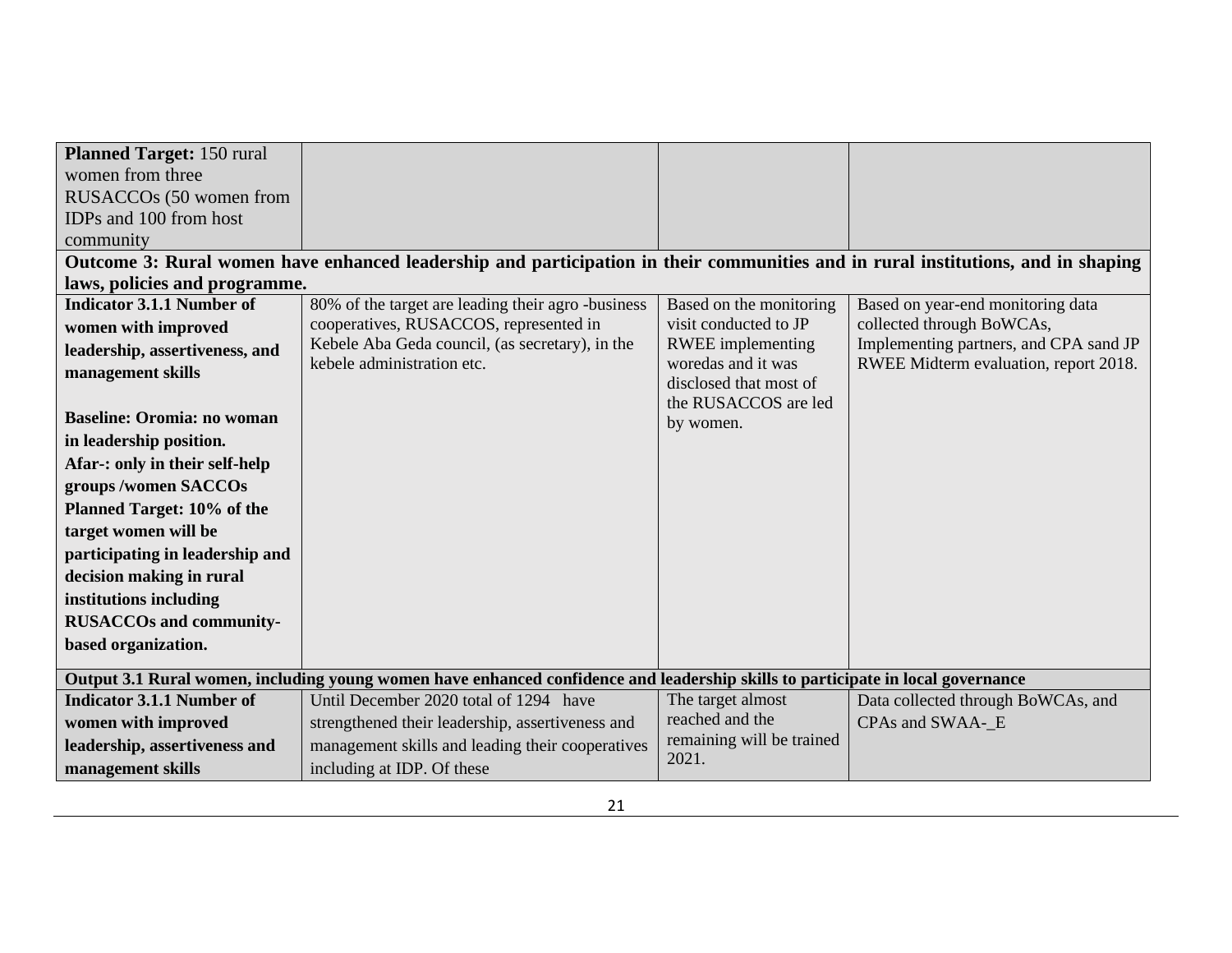| <b>Planned Target: 150 rural</b>  |                                                                                                                                  |                                              |                                        |
|-----------------------------------|----------------------------------------------------------------------------------------------------------------------------------|----------------------------------------------|----------------------------------------|
| women from three                  |                                                                                                                                  |                                              |                                        |
| RUSACCOs (50 women from           |                                                                                                                                  |                                              |                                        |
| IDPs and 100 from host            |                                                                                                                                  |                                              |                                        |
| community                         |                                                                                                                                  |                                              |                                        |
|                                   | Outcome 3: Rural women have enhanced leadership and participation in their communities and in rural institutions, and in shaping |                                              |                                        |
| laws, policies and programme.     |                                                                                                                                  |                                              |                                        |
| <b>Indicator 3.1.1 Number of</b>  | 80% of the target are leading their agro-business                                                                                | Based on the monitoring                      | Based on year-end monitoring data      |
| women with improved               | cooperatives, RUSACCOS, represented in                                                                                           | visit conducted to JP                        | collected through BoWCAs,              |
| leadership, assertiveness, and    | Kebele Aba Geda council, (as secretary), in the                                                                                  | <b>RWEE</b> implementing                     | Implementing partners, and CPA sand JP |
| management skills                 | kebele administration etc.                                                                                                       | woredas and it was<br>disclosed that most of | RWEE Midterm evaluation, report 2018.  |
|                                   |                                                                                                                                  | the RUSACCOS are led                         |                                        |
| <b>Baseline: Oromia: no woman</b> |                                                                                                                                  | by women.                                    |                                        |
| in leadership position.           |                                                                                                                                  |                                              |                                        |
| Afar-: only in their self-help    |                                                                                                                                  |                                              |                                        |
| groups /women SACCOs              |                                                                                                                                  |                                              |                                        |
| Planned Target: 10% of the        |                                                                                                                                  |                                              |                                        |
| target women will be              |                                                                                                                                  |                                              |                                        |
| participating in leadership and   |                                                                                                                                  |                                              |                                        |
| decision making in rural          |                                                                                                                                  |                                              |                                        |
| institutions including            |                                                                                                                                  |                                              |                                        |
| <b>RUSACCOs and community-</b>    |                                                                                                                                  |                                              |                                        |
| based organization.               |                                                                                                                                  |                                              |                                        |
|                                   |                                                                                                                                  |                                              |                                        |
|                                   | Output 3.1 Rural women, including young women have enhanced confidence and leadership skills to participate in local governance  |                                              |                                        |
| <b>Indicator 3.1.1 Number of</b>  | Until December 2020 total of 1294 have                                                                                           | The target almost                            | Data collected through BoWCAs, and     |
| women with improved               | strengthened their leadership, assertiveness and                                                                                 | reached and the                              | CPAs and SWAA-_E                       |
| leadership, assertiveness and     | management skills and leading their cooperatives                                                                                 | remaining will be trained<br>2021.           |                                        |
| management skills                 | including at IDP. Of these                                                                                                       |                                              |                                        |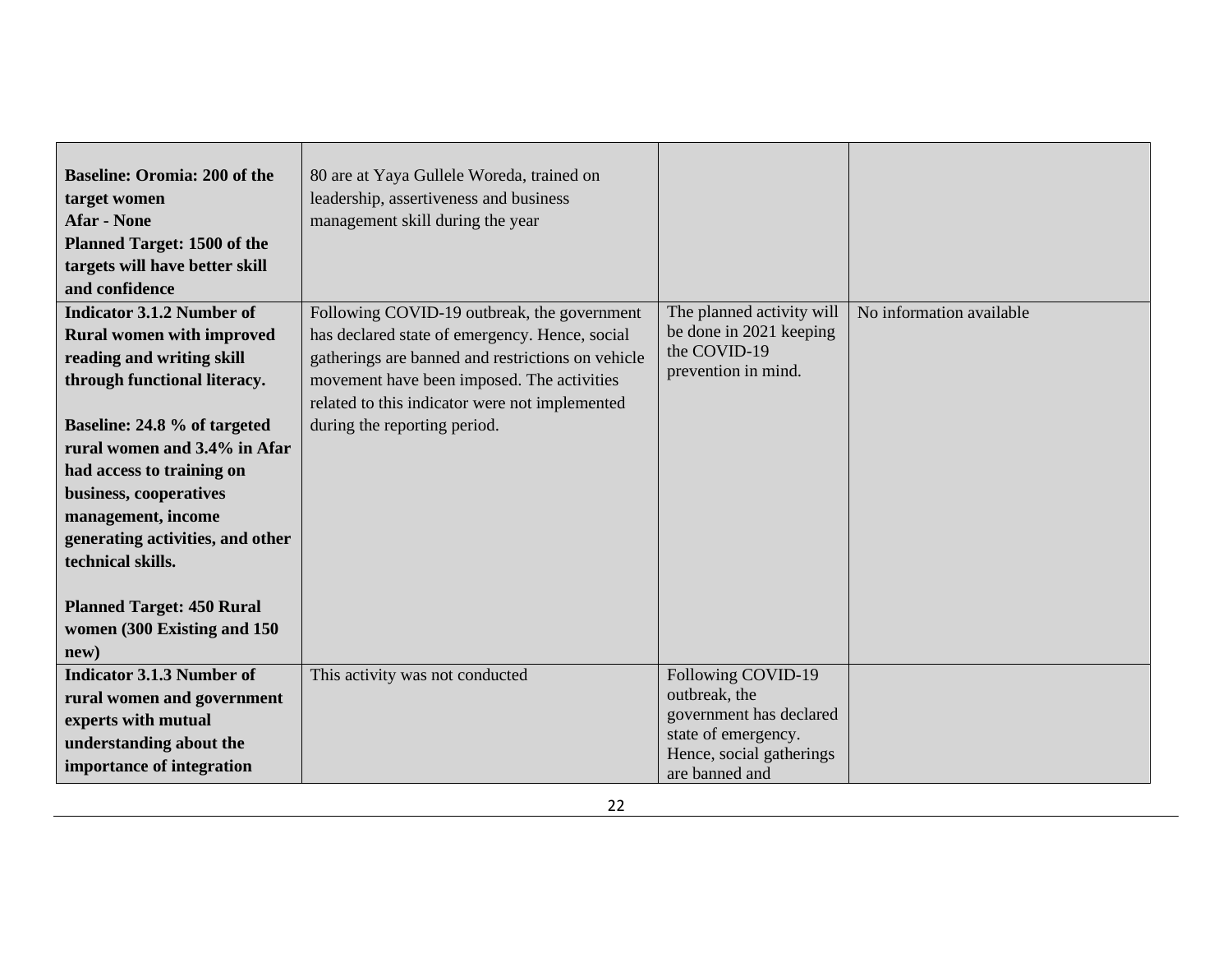| <b>Baseline: Oromia: 200 of the</b><br>target women<br><b>Afar</b> - None<br><b>Planned Target: 1500 of the</b><br>targets will have better skill<br>and confidence                                                                                                                                                                                                                                                | 80 are at Yaya Gullele Woreda, trained on<br>leadership, assertiveness and business<br>management skill during the year                                                                                                                                                            |                                                                                                                                     |                          |
|--------------------------------------------------------------------------------------------------------------------------------------------------------------------------------------------------------------------------------------------------------------------------------------------------------------------------------------------------------------------------------------------------------------------|------------------------------------------------------------------------------------------------------------------------------------------------------------------------------------------------------------------------------------------------------------------------------------|-------------------------------------------------------------------------------------------------------------------------------------|--------------------------|
| <b>Indicator 3.1.2 Number of</b><br><b>Rural women with improved</b><br>reading and writing skill<br>through functional literacy.<br>Baseline: 24.8 % of targeted<br>rural women and 3.4% in Afar<br>had access to training on<br>business, cooperatives<br>management, income<br>generating activities, and other<br>technical skills.<br><b>Planned Target: 450 Rural</b><br>women (300 Existing and 150<br>new) | Following COVID-19 outbreak, the government<br>has declared state of emergency. Hence, social<br>gatherings are banned and restrictions on vehicle<br>movement have been imposed. The activities<br>related to this indicator were not implemented<br>during the reporting period. | The planned activity will<br>be done in 2021 keeping<br>the COVID-19<br>prevention in mind.                                         | No information available |
| <b>Indicator 3.1.3 Number of</b><br>rural women and government<br>experts with mutual<br>understanding about the<br>importance of integration                                                                                                                                                                                                                                                                      | This activity was not conducted                                                                                                                                                                                                                                                    | Following COVID-19<br>outbreak, the<br>government has declared<br>state of emergency.<br>Hence, social gatherings<br>are banned and |                          |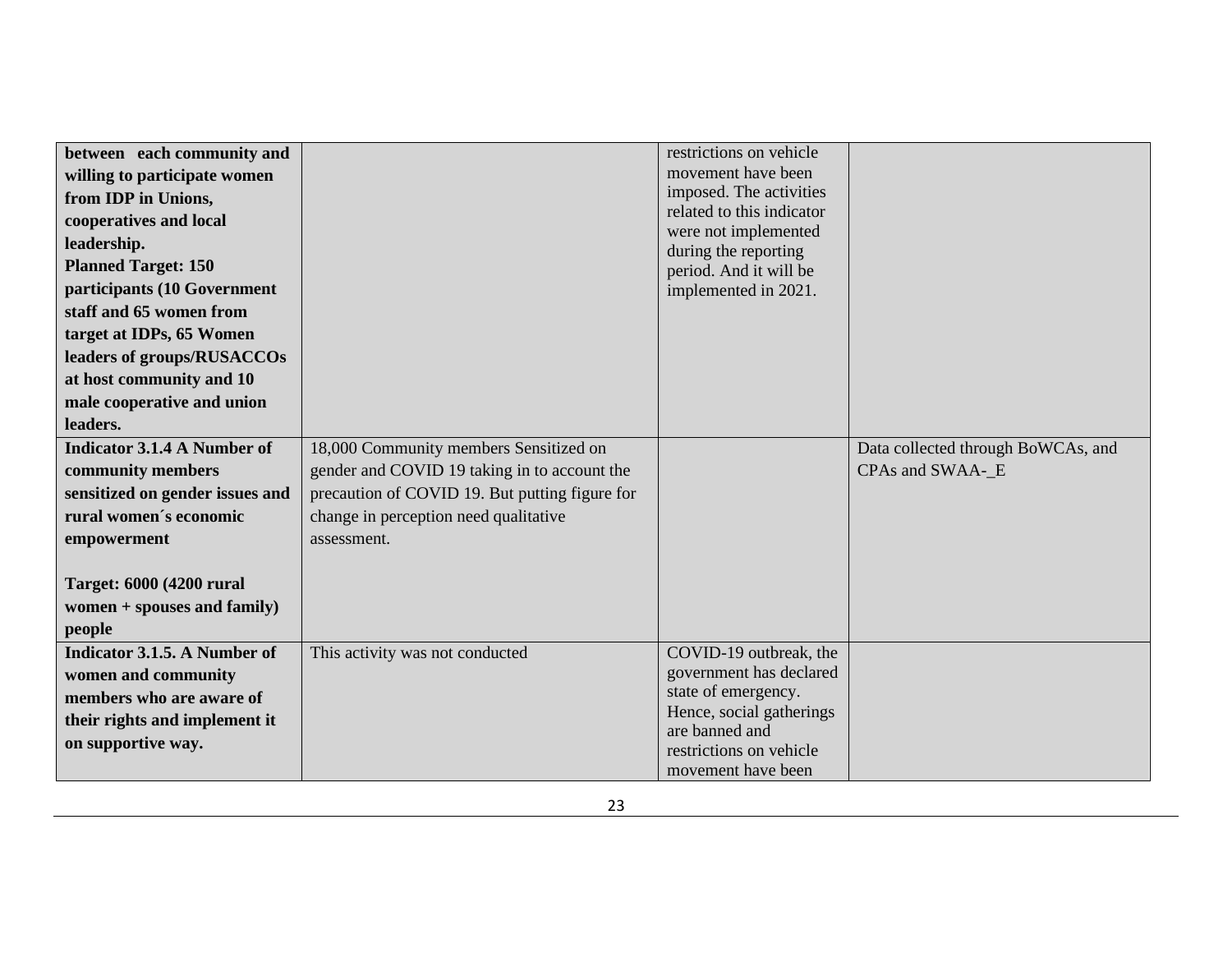| between each community and          |                                                | restrictions on vehicle                        |                                    |
|-------------------------------------|------------------------------------------------|------------------------------------------------|------------------------------------|
| willing to participate women        |                                                | movement have been                             |                                    |
| from IDP in Unions,                 |                                                | imposed. The activities                        |                                    |
| cooperatives and local              |                                                | related to this indicator                      |                                    |
| leadership.                         |                                                | were not implemented                           |                                    |
| <b>Planned Target: 150</b>          |                                                | during the reporting                           |                                    |
| participants (10 Government         |                                                | period. And it will be<br>implemented in 2021. |                                    |
| staff and 65 women from             |                                                |                                                |                                    |
|                                     |                                                |                                                |                                    |
| target at IDPs, 65 Women            |                                                |                                                |                                    |
| leaders of groups/RUSACCOs          |                                                |                                                |                                    |
| at host community and 10            |                                                |                                                |                                    |
| male cooperative and union          |                                                |                                                |                                    |
| leaders.                            |                                                |                                                |                                    |
| <b>Indicator 3.1.4 A Number of</b>  | 18,000 Community members Sensitized on         |                                                | Data collected through BoWCAs, and |
| community members                   | gender and COVID 19 taking in to account the   |                                                | CPAs and SWAA- E                   |
| sensitized on gender issues and     | precaution of COVID 19. But putting figure for |                                                |                                    |
| rural women's economic              | change in perception need qualitative          |                                                |                                    |
| empowerment                         | assessment.                                    |                                                |                                    |
|                                     |                                                |                                                |                                    |
| <b>Target: 6000 (4200 rural)</b>    |                                                |                                                |                                    |
| women $+$ spouses and family)       |                                                |                                                |                                    |
| people                              |                                                |                                                |                                    |
|                                     |                                                |                                                |                                    |
| <b>Indicator 3.1.5. A Number of</b> | This activity was not conducted                | COVID-19 outbreak, the                         |                                    |
| women and community                 |                                                | government has declared                        |                                    |
| members who are aware of            |                                                | state of emergency.                            |                                    |
|                                     |                                                | Hence, social gatherings                       |                                    |
| their rights and implement it       |                                                | are banned and                                 |                                    |
| on supportive way.                  |                                                | restrictions on vehicle<br>movement have been  |                                    |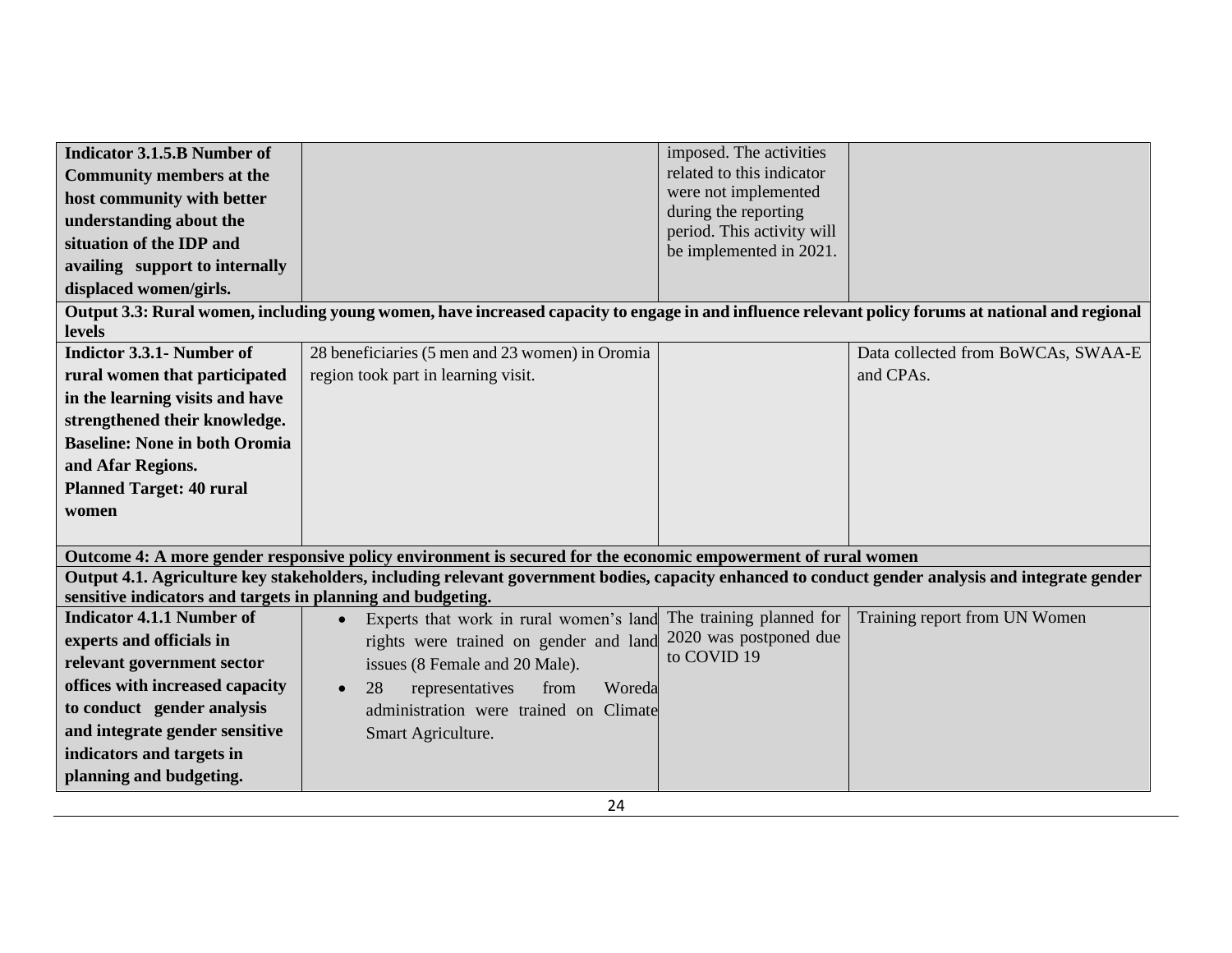| <b>Indicator 3.1.5.B Number of</b>                          |                                                                                                                                                    | imposed. The activities                               |                                    |
|-------------------------------------------------------------|----------------------------------------------------------------------------------------------------------------------------------------------------|-------------------------------------------------------|------------------------------------|
| <b>Community members at the</b>                             |                                                                                                                                                    | related to this indicator                             |                                    |
| host community with better                                  |                                                                                                                                                    | were not implemented                                  |                                    |
| understanding about the                                     |                                                                                                                                                    | during the reporting                                  |                                    |
| situation of the IDP and                                    |                                                                                                                                                    | period. This activity will<br>be implemented in 2021. |                                    |
| availing support to internally                              |                                                                                                                                                    |                                                       |                                    |
| displaced women/girls.                                      |                                                                                                                                                    |                                                       |                                    |
|                                                             | Output 3.3: Rural women, including young women, have increased capacity to engage in and influence relevant policy forums at national and regional |                                                       |                                    |
| levels                                                      |                                                                                                                                                    |                                                       |                                    |
| Indictor 3.3.1- Number of                                   | 28 beneficiaries (5 men and 23 women) in Oromia                                                                                                    |                                                       | Data collected from BoWCAs, SWAA-E |
| rural women that participated                               | region took part in learning visit.                                                                                                                |                                                       | and CPAs.                          |
| in the learning visits and have                             |                                                                                                                                                    |                                                       |                                    |
| strengthened their knowledge.                               |                                                                                                                                                    |                                                       |                                    |
| <b>Baseline: None in both Oromia</b>                        |                                                                                                                                                    |                                                       |                                    |
| and Afar Regions.                                           |                                                                                                                                                    |                                                       |                                    |
| <b>Planned Target: 40 rural</b>                             |                                                                                                                                                    |                                                       |                                    |
| women                                                       |                                                                                                                                                    |                                                       |                                    |
|                                                             |                                                                                                                                                    |                                                       |                                    |
|                                                             | Outcome 4: A more gender responsive policy environment is secured for the economic empowerment of rural women                                      |                                                       |                                    |
|                                                             | Output 4.1. Agriculture key stakeholders, including relevant government bodies, capacity enhanced to conduct gender analysis and integrate gender  |                                                       |                                    |
| sensitive indicators and targets in planning and budgeting. |                                                                                                                                                    |                                                       |                                    |
| <b>Indicator 4.1.1 Number of</b>                            | Experts that work in rural women's land<br>$\bullet$                                                                                               | The training planned for                              | Training report from UN Women      |
| experts and officials in                                    | rights were trained on gender and land                                                                                                             | 2020 was postponed due                                |                                    |
| relevant government sector                                  | issues (8 Female and 20 Male).                                                                                                                     | to COVID 19                                           |                                    |
| offices with increased capacity                             | 28<br>Woreda<br>representatives<br>from<br>$\bullet$                                                                                               |                                                       |                                    |
| to conduct gender analysis                                  | administration were trained on Climate                                                                                                             |                                                       |                                    |
| and integrate gender sensitive                              | Smart Agriculture.                                                                                                                                 |                                                       |                                    |
| indicators and targets in                                   |                                                                                                                                                    |                                                       |                                    |
| planning and budgeting.                                     |                                                                                                                                                    |                                                       |                                    |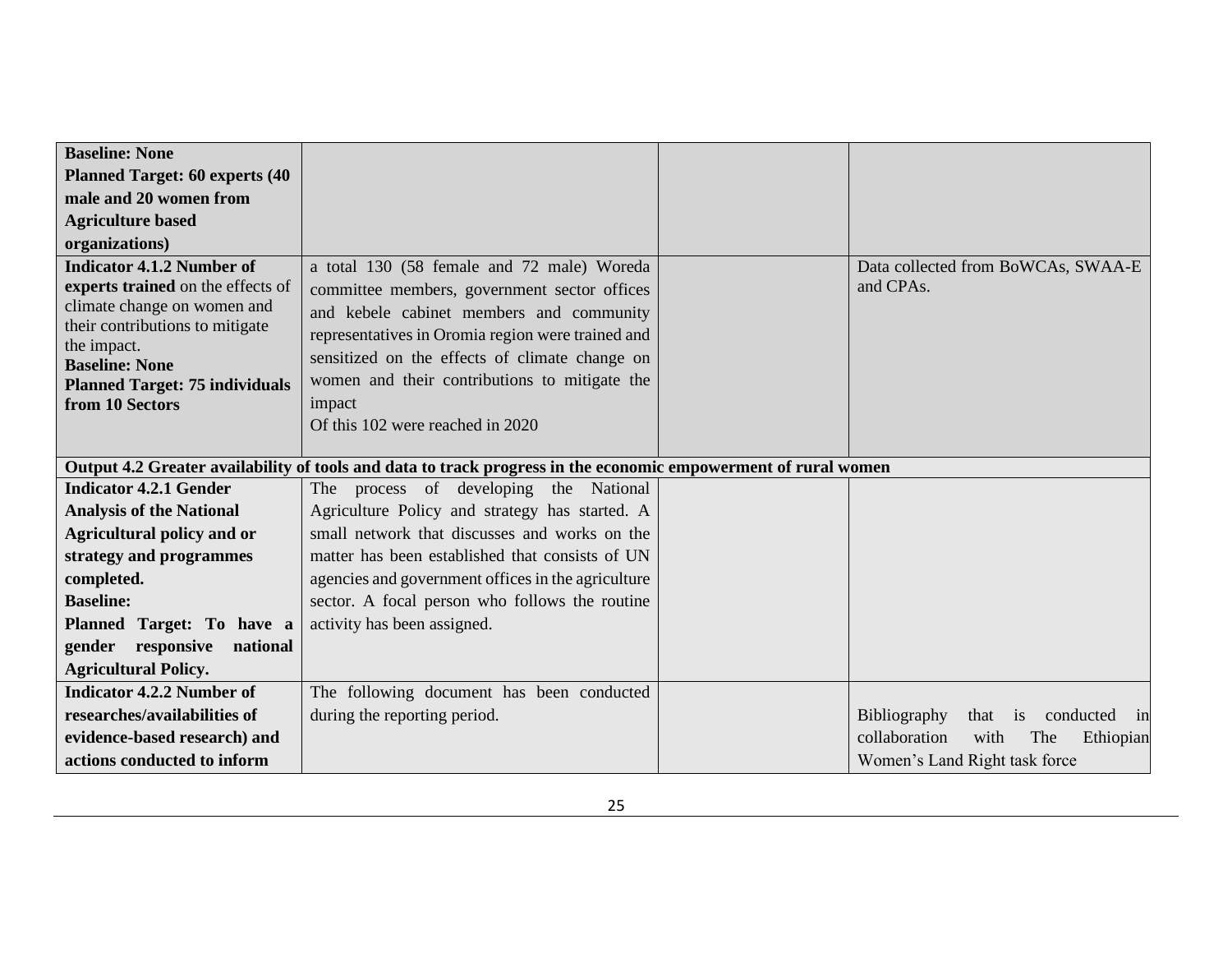| <b>Baseline: None</b>                          |                                                                                                                |                                            |
|------------------------------------------------|----------------------------------------------------------------------------------------------------------------|--------------------------------------------|
| <b>Planned Target: 60 experts (40)</b>         |                                                                                                                |                                            |
| male and 20 women from                         |                                                                                                                |                                            |
| <b>Agriculture based</b>                       |                                                                                                                |                                            |
| organizations)                                 |                                                                                                                |                                            |
| <b>Indicator 4.1.2 Number of</b>               | a total 130 (58 female and 72 male) Woreda                                                                     | Data collected from BoWCAs, SWAA-E         |
| experts trained on the effects of              | committee members, government sector offices                                                                   | and CPAs.                                  |
| climate change on women and                    | and kebele cabinet members and community                                                                       |                                            |
| their contributions to mitigate<br>the impact. | representatives in Oromia region were trained and                                                              |                                            |
| <b>Baseline: None</b>                          | sensitized on the effects of climate change on                                                                 |                                            |
| <b>Planned Target: 75 individuals</b>          | women and their contributions to mitigate the                                                                  |                                            |
| from 10 Sectors                                | impact                                                                                                         |                                            |
|                                                | Of this 102 were reached in 2020                                                                               |                                            |
|                                                |                                                                                                                |                                            |
|                                                | Output 4.2 Greater availability of tools and data to track progress in the economic empowerment of rural women |                                            |
| <b>Indicator 4.2.1 Gender</b>                  | The process of developing<br>the National                                                                      |                                            |
| <b>Analysis of the National</b>                | Agriculture Policy and strategy has started. A                                                                 |                                            |
| <b>Agricultural policy and or</b>              | small network that discusses and works on the                                                                  |                                            |
| strategy and programmes                        | matter has been established that consists of UN                                                                |                                            |
| completed.                                     | agencies and government offices in the agriculture                                                             |                                            |
| <b>Baseline:</b>                               | sector. A focal person who follows the routine                                                                 |                                            |
| Planned Target: To have a                      | activity has been assigned.                                                                                    |                                            |
| gender responsive national                     |                                                                                                                |                                            |
| <b>Agricultural Policy.</b>                    |                                                                                                                |                                            |
| <b>Indicator 4.2.2 Number of</b>               | The following document has been conducted                                                                      |                                            |
| researches/availabilities of                   | during the reporting period.                                                                                   | Bibliography<br>conducted in<br>that<br>is |
| evidence-based research) and                   |                                                                                                                | collaboration<br>with<br>Ethiopian<br>The  |
| actions conducted to inform                    |                                                                                                                | Women's Land Right task force              |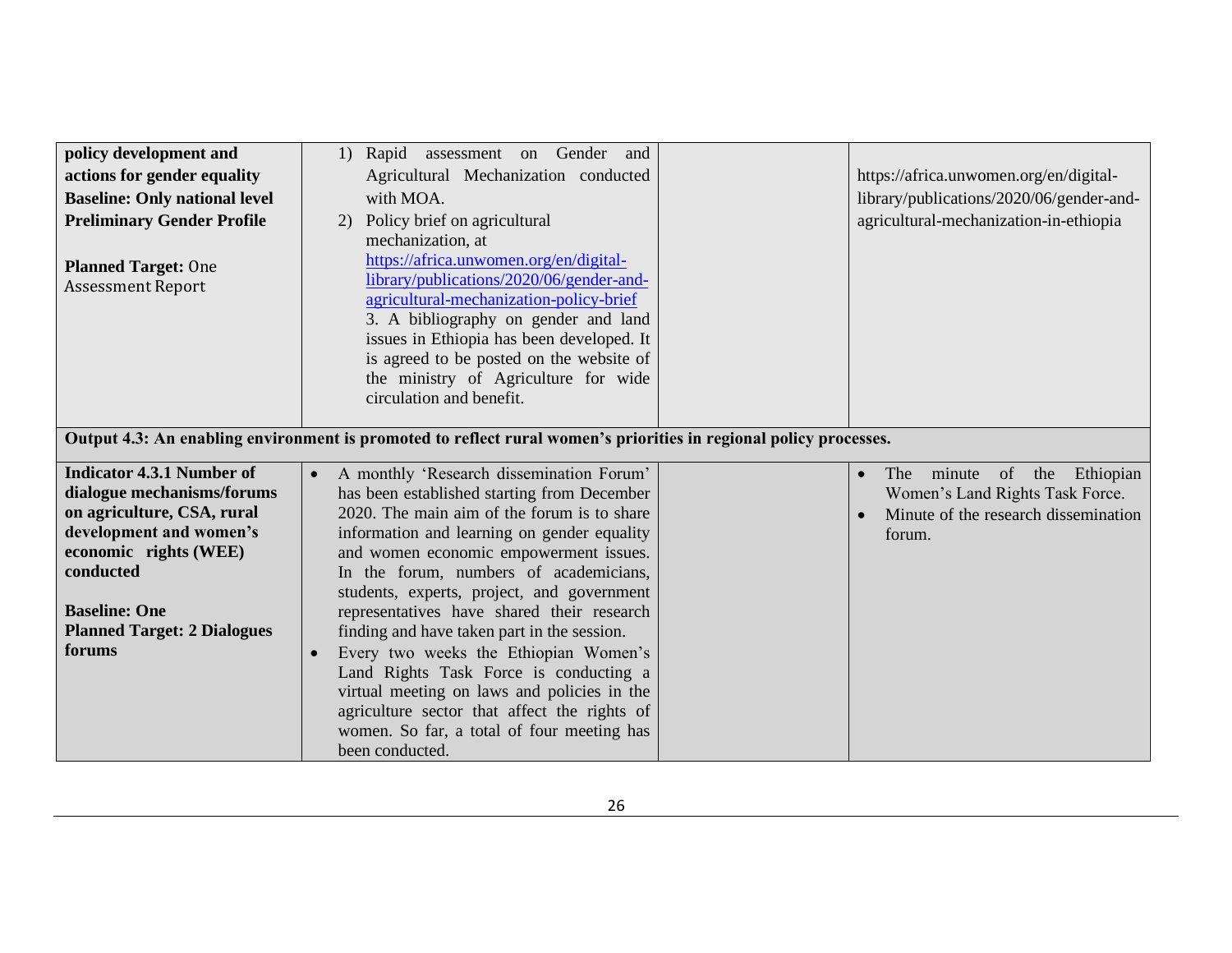| policy development and                                   | 1) Rapid assessment on Gender and                                                                                 |                                          |
|----------------------------------------------------------|-------------------------------------------------------------------------------------------------------------------|------------------------------------------|
| actions for gender equality                              | Agricultural Mechanization conducted                                                                              | https://africa.unwomen.org/en/digital-   |
| <b>Baseline: Only national level</b>                     | with MOA.                                                                                                         | library/publications/2020/06/gender-and- |
| <b>Preliminary Gender Profile</b>                        | Policy brief on agricultural<br>2)                                                                                | agricultural-mechanization-in-ethiopia   |
|                                                          | mechanization, at                                                                                                 |                                          |
|                                                          | https://africa.unwomen.org/en/digital-                                                                            |                                          |
| <b>Planned Target: One</b>                               | library/publications/2020/06/gender-and-                                                                          |                                          |
| <b>Assessment Report</b>                                 | agricultural-mechanization-policy-brief                                                                           |                                          |
|                                                          | 3. A bibliography on gender and land                                                                              |                                          |
|                                                          | issues in Ethiopia has been developed. It                                                                         |                                          |
|                                                          | is agreed to be posted on the website of                                                                          |                                          |
|                                                          | the ministry of Agriculture for wide                                                                              |                                          |
|                                                          | circulation and benefit.                                                                                          |                                          |
|                                                          |                                                                                                                   |                                          |
|                                                          | Output 4.3: An enabling environment is promoted to reflect rural women's priorities in regional policy processes. |                                          |
| <b>Indicator 4.3.1 Number of</b>                         |                                                                                                                   |                                          |
|                                                          | A monthly 'Research dissemination Forum'<br>$\bullet$                                                             | minute<br>of<br>the Ethiopian<br>The     |
| dialogue mechanisms/forums<br>on agriculture, CSA, rural | has been established starting from December<br>2020. The main aim of the forum is to share                        | Women's Land Rights Task Force.          |
| development and women's                                  |                                                                                                                   | Minute of the research dissemination     |
| economic rights (WEE)                                    | information and learning on gender equality                                                                       | forum.                                   |
| conducted                                                | and women economic empowerment issues.<br>In the forum, numbers of academicians,                                  |                                          |
|                                                          | students, experts, project, and government                                                                        |                                          |
| <b>Baseline: One</b>                                     | representatives have shared their research                                                                        |                                          |
| <b>Planned Target: 2 Dialogues</b>                       | finding and have taken part in the session.                                                                       |                                          |
| forums                                                   | Every two weeks the Ethiopian Women's                                                                             |                                          |
|                                                          | Land Rights Task Force is conducting a                                                                            |                                          |
|                                                          | virtual meeting on laws and policies in the                                                                       |                                          |
|                                                          | agriculture sector that affect the rights of                                                                      |                                          |
|                                                          | women. So far, a total of four meeting has                                                                        |                                          |
|                                                          | been conducted.                                                                                                   |                                          |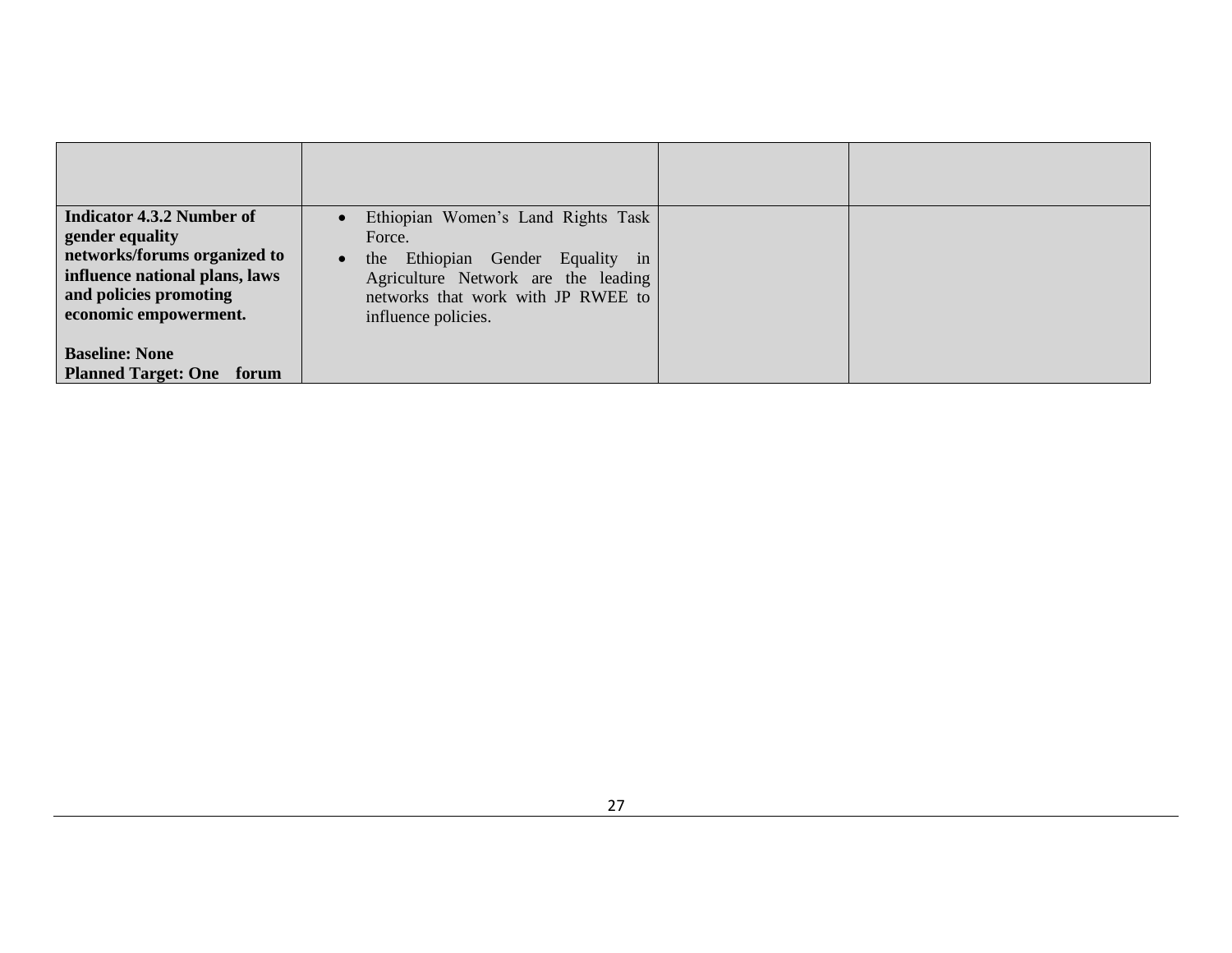| <b>Indicator 4.3.2 Number of</b> | Ethiopian Women's Land Rights Task            |  |
|----------------------------------|-----------------------------------------------|--|
| gender equality                  | Force.                                        |  |
| networks/forums organized to     | the Ethiopian Gender Equality in<br>$\bullet$ |  |
| influence national plans, laws   | Agriculture Network are the leading           |  |
| and policies promoting           | networks that work with JP RWEE to            |  |
| economic empowerment.            | influence policies.                           |  |
|                                  |                                               |  |
| <b>Baseline: None</b>            |                                               |  |
| <b>Planned Target: One</b> forum |                                               |  |